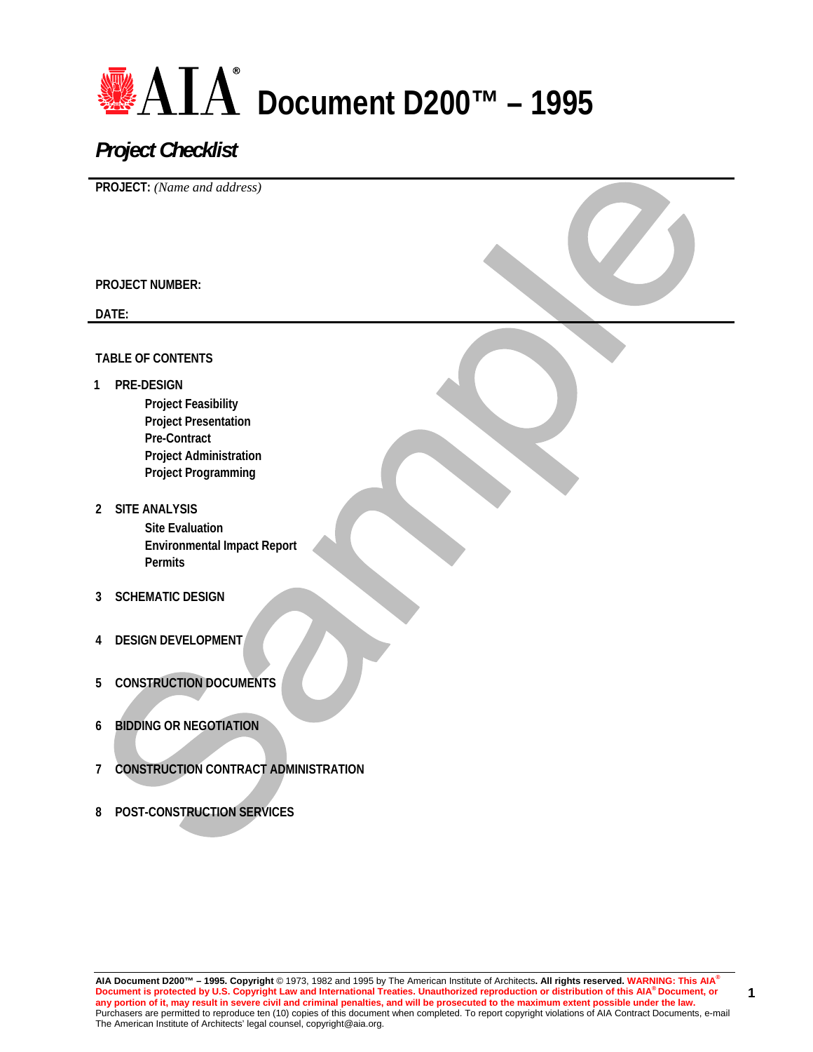# **<u>● ATA</u>** Document D200™ – 1995

# *Project Checklist*

**PROJECT:** *(Name and address)*

**PROJECT NUMBER:** 

**DATE:**

### **TABLE OF CONTENTS**

**1 PRE-DESIGN** 

 **Project Feasibility Project Presentation Pre-Contract Project Administration Project Programming** 

- **2 SITE ANALYSIS Site Evaluation Environmental Impact Report Permits**
- **3 SCHEMATIC DESIGN**
- **4 DESIGN DEVELOPMENT**
- **5 CONSTRUCTION DOCUMENTS**
- **6 BIDDING OR NEGOTIATION**
- **7 CONSTRUCTION CONTRACT ADMINISTRATION**
- **8 POST-CONSTRUCTION SERVICES**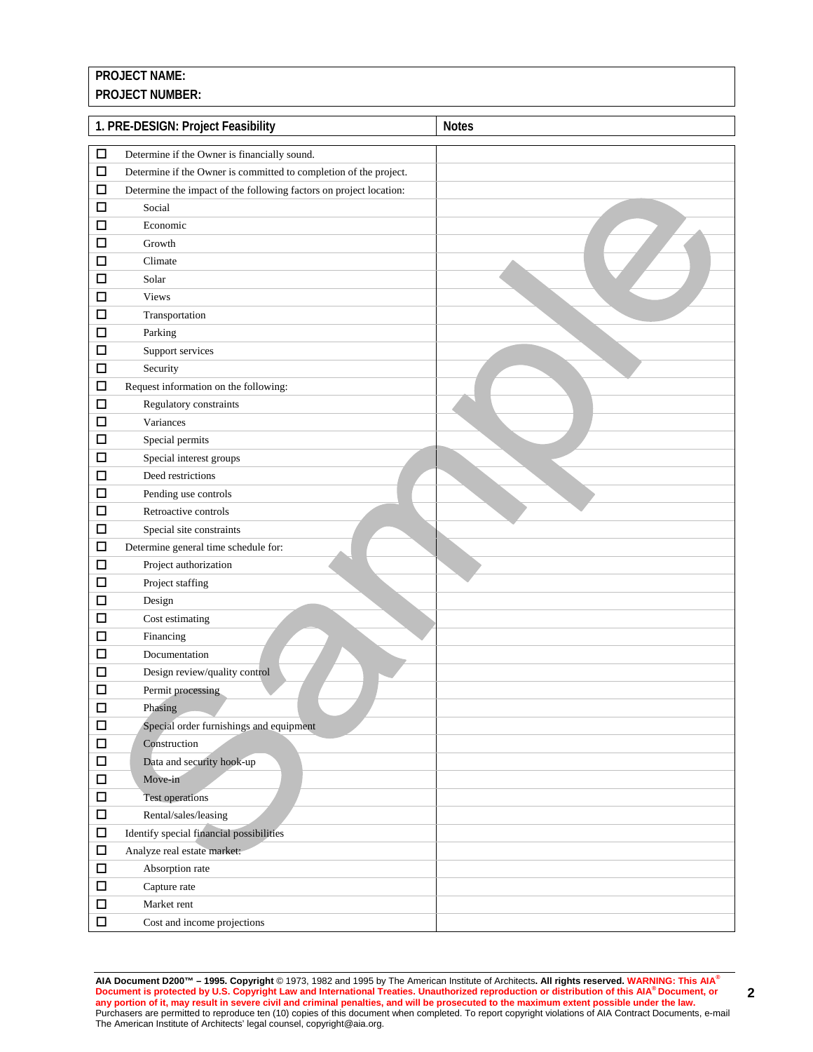|        | 1. PRE-DESIGN: Project Feasibility                                 | <b>Notes</b> |
|--------|--------------------------------------------------------------------|--------------|
| $\Box$ | Determine if the Owner is financially sound.                       |              |
| $\Box$ | Determine if the Owner is committed to completion of the project.  |              |
| $\Box$ | Determine the impact of the following factors on project location: |              |
| $\Box$ | Social                                                             |              |
| □      | Economic                                                           |              |
| $\Box$ | Growth                                                             |              |
| $\Box$ | Climate                                                            |              |
| $\Box$ | Solar                                                              |              |
| □      | <b>Views</b>                                                       |              |
| 口      | Transportation                                                     |              |
| □      | Parking                                                            |              |
| □      | Support services                                                   |              |
| □      | Security                                                           |              |
| $\Box$ | Request information on the following:                              |              |
| $\Box$ | Regulatory constraints                                             |              |
| $\Box$ | Variances                                                          |              |
| □      | Special permits                                                    |              |
| $\Box$ | Special interest groups                                            |              |
| □      | Deed restrictions                                                  |              |
| □      | Pending use controls                                               |              |
| □      | Retroactive controls                                               |              |
| □      | Special site constraints                                           |              |
| $\Box$ | Determine general time schedule for:                               |              |
| $\Box$ | Project authorization                                              |              |
| $\Box$ | Project staffing                                                   |              |
| □      | Design                                                             |              |
| □      | Cost estimating                                                    |              |
| □      | Financing                                                          |              |
| □      | Documentation                                                      |              |
| □      | Design review/quality control                                      |              |
| □      | Permit processing                                                  |              |
| □      | Phasing                                                            |              |
| $\Box$ | Special order furnishings and equipment                            |              |
| $\Box$ | Construction                                                       |              |
| $\Box$ | Data and security hook-up                                          |              |
| $\Box$ | Move-in                                                            |              |
| $\Box$ | <b>Test operations</b>                                             |              |
| $\Box$ | Rental/sales/leasing                                               |              |
| $\Box$ | Identify special financial possibilities                           |              |
| $\Box$ | Analyze real estate market:                                        |              |
| $\Box$ | Absorption rate                                                    |              |
| $\Box$ | Capture rate                                                       |              |
| $\Box$ | Market rent                                                        |              |
| $\Box$ | Cost and income projections                                        |              |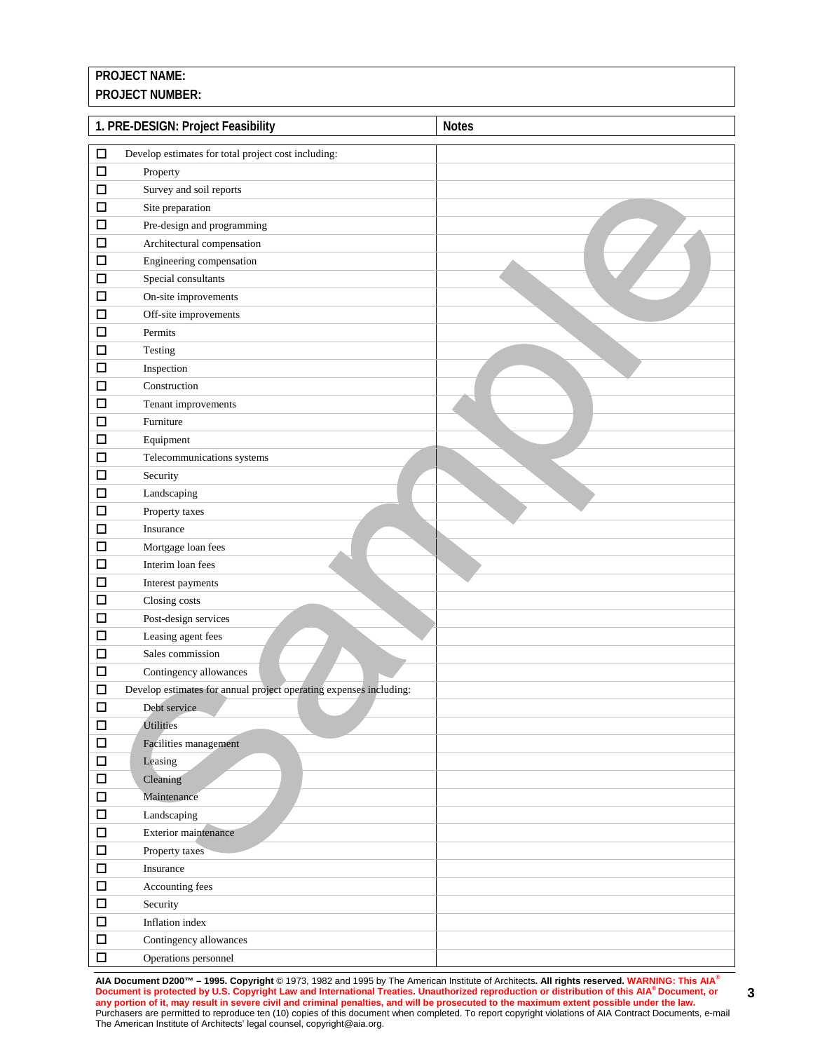| PROJECT NUMBER: |  |
|-----------------|--|

|        | 1. PRE-DESIGN: Project Feasibility                                 | <b>Notes</b> |
|--------|--------------------------------------------------------------------|--------------|
| $\Box$ | Develop estimates for total project cost including:                |              |
| $\Box$ | Property                                                           |              |
| □      | Survey and soil reports                                            |              |
| $\Box$ | Site preparation                                                   |              |
| $\Box$ | Pre-design and programming                                         |              |
| $\Box$ | Architectural compensation                                         |              |
| $\Box$ | Engineering compensation                                           |              |
| □      | Special consultants                                                |              |
| □      | On-site improvements                                               |              |
| $\Box$ | Off-site improvements                                              |              |
| $\Box$ | Permits                                                            |              |
| □      | Testing                                                            |              |
| $\Box$ | Inspection                                                         |              |
| $\Box$ | Construction                                                       |              |
| □      | Tenant improvements                                                |              |
| □      | Furniture                                                          |              |
| □      | Equipment                                                          |              |
| $\Box$ | Telecommunications systems                                         |              |
| $\Box$ | Security                                                           |              |
| □      | Landscaping                                                        |              |
| □      | Property taxes                                                     |              |
| $\Box$ | Insurance                                                          |              |
| $\Box$ | Mortgage loan fees                                                 |              |
| □      | Interim loan fees                                                  |              |
| □      | Interest payments                                                  |              |
| $\Box$ | Closing costs                                                      |              |
| $\Box$ | Post-design services                                               |              |
| □      | Leasing agent fees                                                 |              |
| □      | Sales commission                                                   |              |
| □      | Contingency allowances                                             |              |
| $\Box$ | Develop estimates for annual project operating expenses including: |              |
| $\Box$ | Debt service                                                       |              |
| $\Box$ | Utilities                                                          |              |
| $\Box$ | Facilities management                                              |              |
| $\Box$ | Leasing                                                            |              |
| $\Box$ | Cleaning                                                           |              |
| $\Box$ | Maintenance                                                        |              |
| $\Box$ | Landscaping                                                        |              |
| $\Box$ | Exterior maintenance                                               |              |
| $\Box$ | Property taxes                                                     |              |
| $\Box$ | Insurance                                                          |              |
| $\Box$ | Accounting fees                                                    |              |
| $\Box$ | Security                                                           |              |
| $\Box$ | Inflation index                                                    |              |
| $\Box$ | Contingency allowances                                             |              |
| $\Box$ | Operations personnel                                               |              |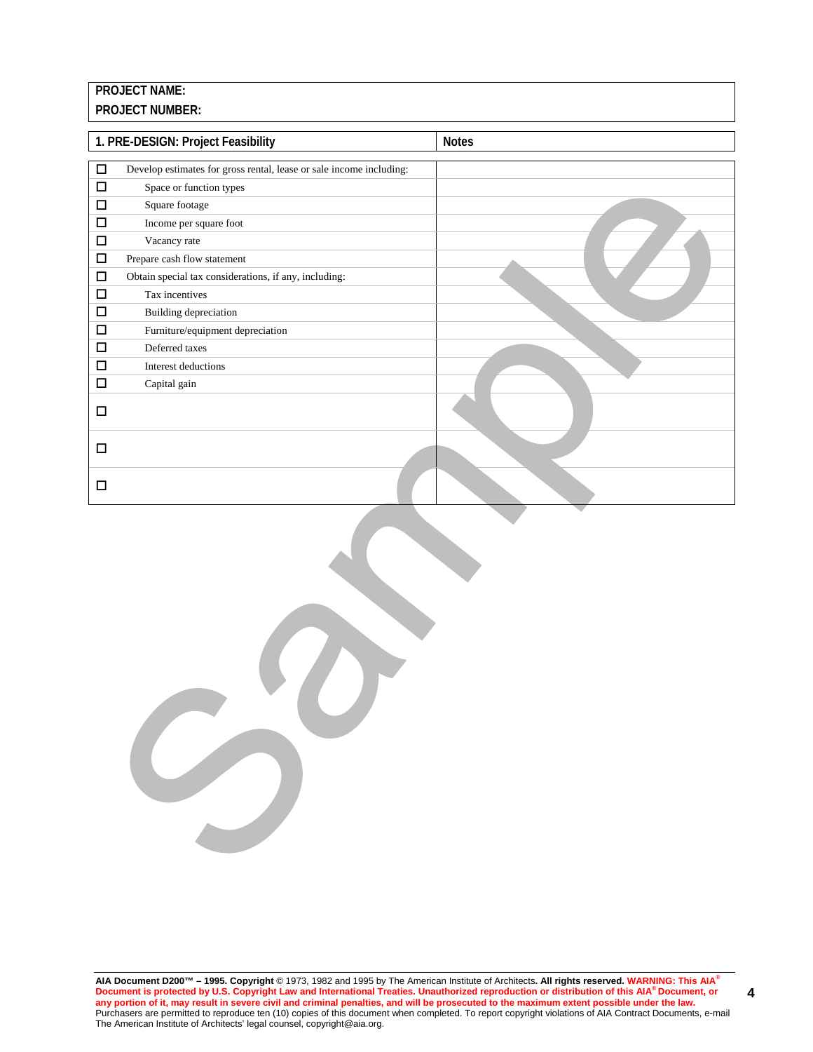|        | 1. PRE-DESIGN: Project Feasibility                                  | <b>Notes</b> |  |
|--------|---------------------------------------------------------------------|--------------|--|
|        |                                                                     |              |  |
| $\Box$ | Develop estimates for gross rental, lease or sale income including: |              |  |
| □      | Space or function types                                             |              |  |
| □      | Square footage                                                      |              |  |
| □      | Income per square foot                                              |              |  |
| $\Box$ | Vacancy rate                                                        |              |  |
| □      | Prepare cash flow statement                                         |              |  |
| □      | Obtain special tax considerations, if any, including:               |              |  |
| □      | Tax incentives                                                      |              |  |
| $\Box$ | Building depreciation                                               |              |  |
| □      | Furniture/equipment depreciation                                    |              |  |
| $\Box$ | Deferred taxes                                                      |              |  |
| □      | Interest deductions                                                 |              |  |
| □      | Capital gain                                                        |              |  |
| □      |                                                                     |              |  |
| □      |                                                                     |              |  |
| □      |                                                                     |              |  |

O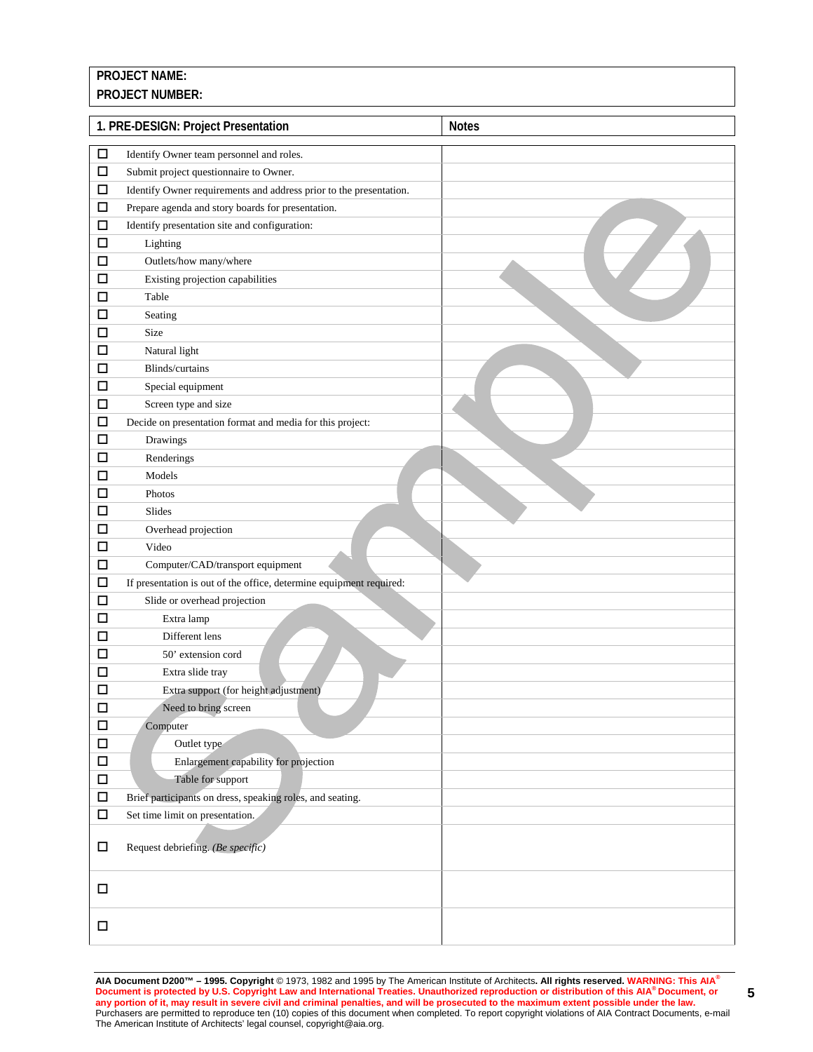**PROJECT NUMBER:**

|        | 1. PRE-DESIGN: Project Presentation                                 | <b>Notes</b> |
|--------|---------------------------------------------------------------------|--------------|
| $\Box$ | Identify Owner team personnel and roles.                            |              |
| $\Box$ | Submit project questionnaire to Owner.                              |              |
| □      | Identify Owner requirements and address prior to the presentation.  |              |
| $\Box$ | Prepare agenda and story boards for presentation.                   |              |
| $\Box$ | Identify presentation site and configuration:                       |              |
| $\Box$ | Lighting                                                            |              |
| $\Box$ | Outlets/how many/where                                              |              |
| $\Box$ | Existing projection capabilities                                    |              |
| $\Box$ | Table                                                               |              |
| □      | Seating                                                             |              |
| □      | Size                                                                |              |
| □      | Natural light                                                       |              |
| □      | Blinds/curtains                                                     |              |
| □      | Special equipment                                                   |              |
| □      | Screen type and size                                                |              |
| $\Box$ | Decide on presentation format and media for this project:           |              |
| □      | Drawings                                                            |              |
| □      |                                                                     |              |
|        | Renderings                                                          |              |
| □      | Models                                                              |              |
| □      | Photos                                                              |              |
| $\Box$ | Slides                                                              |              |
| 口      | Overhead projection                                                 |              |
| □      | Video                                                               |              |
| $\Box$ | Computer/CAD/transport equipment                                    |              |
| $\Box$ | If presentation is out of the office, determine equipment required: |              |
| □      | Slide or overhead projection                                        |              |
| □      | Extra lamp                                                          |              |
| □      | Different lens                                                      |              |
| $\Box$ | 50' extension cord                                                  |              |
| □      | Extra slide tray                                                    |              |
| □      | Extra support (for height adjustment)                               |              |
| $\Box$ | Need to bring screen                                                |              |
| $\Box$ | Computer                                                            |              |
| $\Box$ | Outlet type                                                         |              |
| $\Box$ | Enlargement capability for projection                               |              |
| $\Box$ | Table for support                                                   |              |
| $\Box$ | Brief participants on dress, speaking roles, and seating.           |              |
| $\Box$ | Set time limit on presentation.                                     |              |
|        |                                                                     |              |
| $\Box$ | Request debriefing. (Be specific)                                   |              |
|        |                                                                     |              |
| $\Box$ |                                                                     |              |
|        |                                                                     |              |
| $\Box$ |                                                                     |              |
|        |                                                                     |              |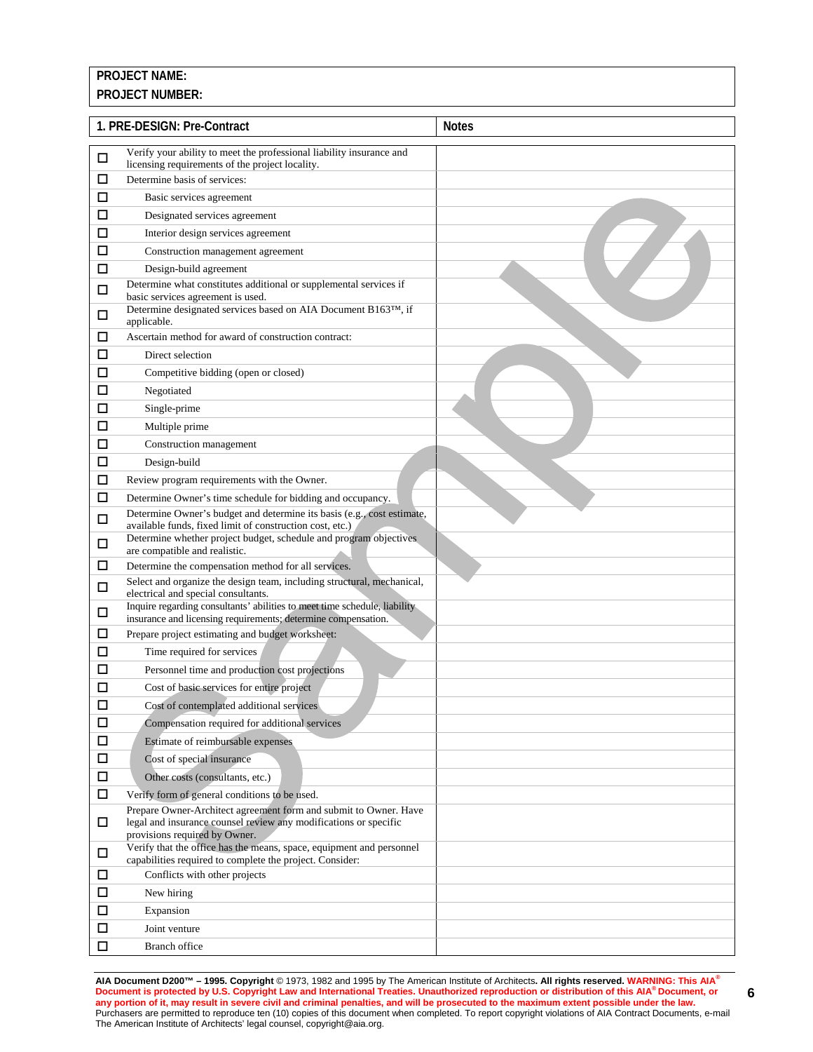|             | 1. PRE-DESIGN: Pre-Contract                                                                                                                | Notes |
|-------------|--------------------------------------------------------------------------------------------------------------------------------------------|-------|
|             | Verify your ability to meet the professional liability insurance and                                                                       |       |
| □           | licensing requirements of the project locality.                                                                                            |       |
| □           | Determine basis of services:                                                                                                               |       |
| □           | Basic services agreement                                                                                                                   |       |
| □           | Designated services agreement                                                                                                              |       |
| □           | Interior design services agreement                                                                                                         |       |
| □           | Construction management agreement                                                                                                          |       |
| □           | Design-build agreement                                                                                                                     |       |
| □           | Determine what constitutes additional or supplemental services if                                                                          |       |
|             | basic services agreement is used.                                                                                                          |       |
| □           | Determine designated services based on AIA Document B163TM, if<br>applicable.                                                              |       |
| □           | Ascertain method for award of construction contract:                                                                                       |       |
| □           | Direct selection                                                                                                                           |       |
| □           | Competitive bidding (open or closed)                                                                                                       |       |
| ◻           | Negotiated                                                                                                                                 |       |
| □           | Single-prime                                                                                                                               |       |
| ◻           | Multiple prime                                                                                                                             |       |
| □           | Construction management                                                                                                                    |       |
| □           | Design-build                                                                                                                               |       |
|             |                                                                                                                                            |       |
| □           | Review program requirements with the Owner.                                                                                                |       |
| □           | Determine Owner's time schedule for bidding and occupancy.<br>Determine Owner's budget and determine its basis (e.g., cost estimate,       |       |
| □           | available funds, fixed limit of construction cost, etc.)                                                                                   |       |
| □           | Determine whether project budget, schedule and program objectives                                                                          |       |
| □           | are compatible and realistic.<br>Determine the compensation method for all services.                                                       |       |
|             | Select and organize the design team, including structural, mechanical,                                                                     |       |
| □           | electrical and special consultants.                                                                                                        |       |
| □           | Inquire regarding consultants' abilities to meet time schedule, liability<br>insurance and licensing requirements; determine compensation. |       |
| □           | Prepare project estimating and budget worksheet:                                                                                           |       |
| □           | Time required for services                                                                                                                 |       |
| □           | Personnel time and production cost projections                                                                                             |       |
| □           | Cost of basic services for entire project                                                                                                  |       |
|             | Cost of contemplated additional services                                                                                                   |       |
| □<br>$\Box$ |                                                                                                                                            |       |
|             | Compensation required for additional services                                                                                              |       |
| □           | Estimate of reimbursable expenses                                                                                                          |       |
| □           | Cost of special insurance                                                                                                                  |       |
| □           | Other costs (consultants, etc.)                                                                                                            |       |
| □           | Verify form of general conditions to be used.                                                                                              |       |
| □           | Prepare Owner-Architect agreement form and submit to Owner. Have<br>legal and insurance counsel review any modifications or specific       |       |
|             | provisions required by Owner.                                                                                                              |       |
| □           | Verify that the office has the means, space, equipment and personnel                                                                       |       |
| □           | capabilities required to complete the project. Consider:<br>Conflicts with other projects                                                  |       |
| □           | New hiring                                                                                                                                 |       |
| □           | Expansion                                                                                                                                  |       |
| □           | Joint venture                                                                                                                              |       |
|             |                                                                                                                                            |       |
| □           | <b>Branch</b> office                                                                                                                       |       |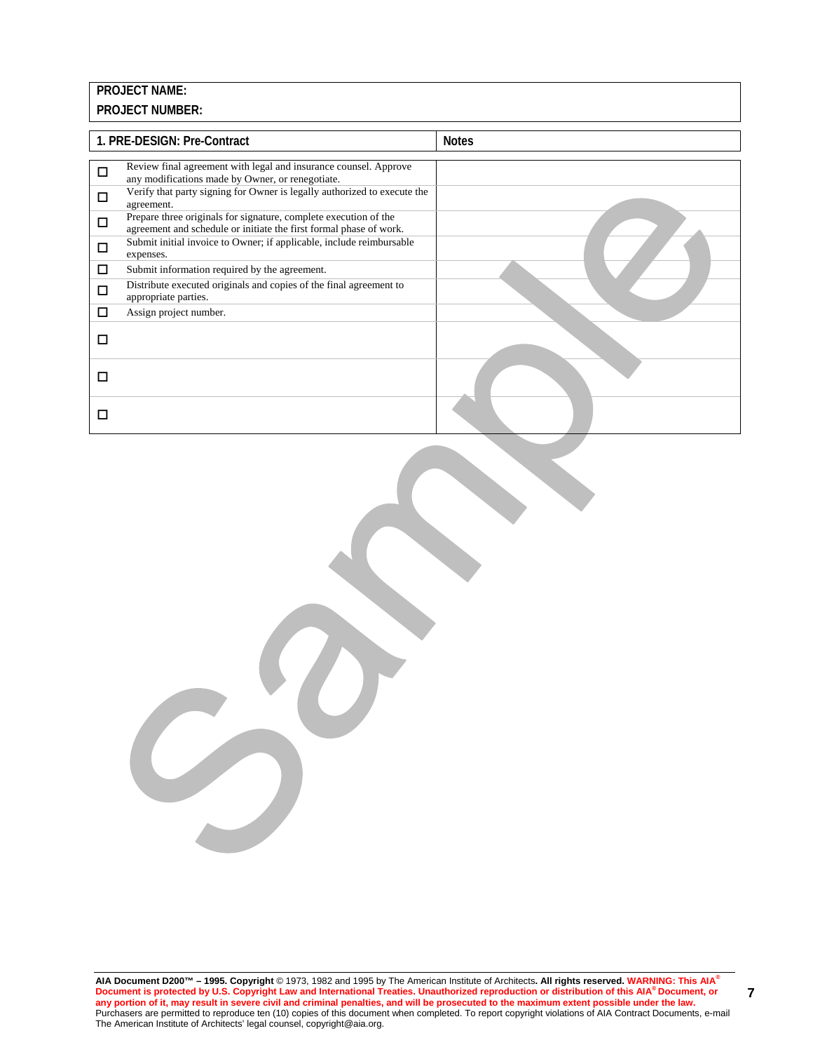| 1. PRE-DESIGN: Pre-Contract |                                                                                                                                        | <b>Notes</b> |  |
|-----------------------------|----------------------------------------------------------------------------------------------------------------------------------------|--------------|--|
|                             |                                                                                                                                        |              |  |
| □                           | Review final agreement with legal and insurance counsel. Approve<br>any modifications made by Owner, or renegotiate.                   |              |  |
| □                           | Verify that party signing for Owner is legally authorized to execute the<br>agreement.                                                 |              |  |
| $\Box$                      | Prepare three originals for signature, complete execution of the<br>agreement and schedule or initiate the first formal phase of work. |              |  |
| □                           | Submit initial invoice to Owner; if applicable, include reimbursable<br>expenses.                                                      |              |  |
| □                           | Submit information required by the agreement.                                                                                          |              |  |
| □                           | Distribute executed originals and copies of the final agreement to<br>appropriate parties.                                             |              |  |
| □                           | Assign project number.                                                                                                                 |              |  |
| □                           |                                                                                                                                        |              |  |
| п                           |                                                                                                                                        |              |  |
| П                           |                                                                                                                                        |              |  |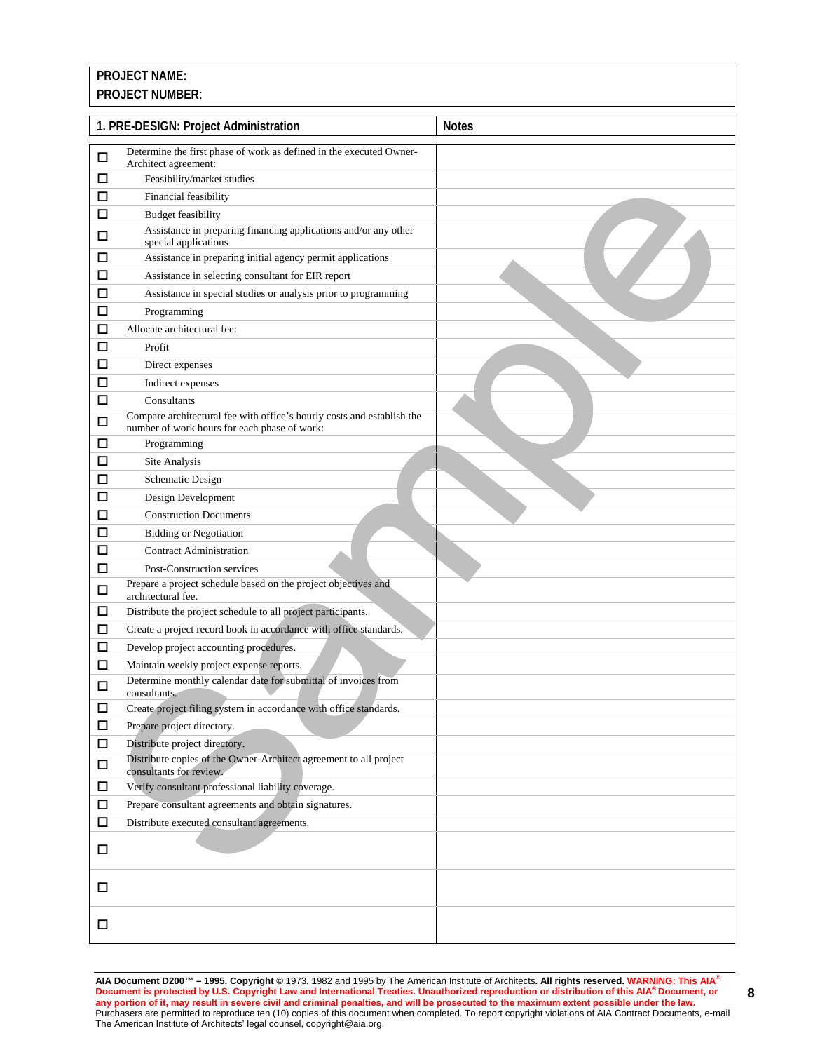|        | 1. PRE-DESIGN: Project Administration                                                                                  | <b>Notes</b> |
|--------|------------------------------------------------------------------------------------------------------------------------|--------------|
| $\Box$ | Determine the first phase of work as defined in the executed Owner-<br>Architect agreement:                            |              |
| □      | Feasibility/market studies                                                                                             |              |
| □      | Financial feasibility                                                                                                  |              |
| □      | <b>Budget feasibility</b>                                                                                              |              |
| □      | Assistance in preparing financing applications and/or any other<br>special applications                                |              |
| □      | Assistance in preparing initial agency permit applications                                                             |              |
| □      | Assistance in selecting consultant for EIR report                                                                      |              |
| □      | Assistance in special studies or analysis prior to programming                                                         |              |
| □      | Programming                                                                                                            |              |
| □      | Allocate architectural fee:                                                                                            |              |
| □      | Profit                                                                                                                 |              |
| □      | Direct expenses                                                                                                        |              |
| □      | Indirect expenses                                                                                                      |              |
| □      | Consultants                                                                                                            |              |
| □      | Compare architectural fee with office's hourly costs and establish the<br>number of work hours for each phase of work: |              |
| □      | Programming                                                                                                            |              |
| ◻      | Site Analysis                                                                                                          |              |
| ◻      | Schematic Design                                                                                                       |              |
| □      | Design Development                                                                                                     |              |
| □      | <b>Construction Documents</b>                                                                                          |              |
| □      | <b>Bidding or Negotiation</b>                                                                                          |              |
| □      | <b>Contract Administration</b>                                                                                         |              |
| □      | Post-Construction services                                                                                             |              |
| □      | Prepare a project schedule based on the project objectives and<br>architectural fee.                                   |              |
| □      | Distribute the project schedule to all project participants.                                                           |              |
| □      | Create a project record book in accordance with office standards.                                                      |              |
| □      | Develop project accounting procedures.                                                                                 |              |
| □      | Maintain weekly project expense reports.                                                                               |              |
| □      | Determine monthly calendar date for submittal of invoices from<br>consultants.                                         |              |
| □      | Create project filing system in accordance with office standards.                                                      |              |
| □      | Prepare project directory.                                                                                             |              |
| $\Box$ | Distribute project directory.                                                                                          |              |
| □      | Distribute copies of the Owner-Architect agreement to all project<br>consultants for review.                           |              |
| □      | Verify consultant professional liability coverage.                                                                     |              |
| $\Box$ | Prepare consultant agreements and obtain signatures.                                                                   |              |
| □      | Distribute executed consultant agreements.                                                                             |              |
| $\Box$ |                                                                                                                        |              |
| □      |                                                                                                                        |              |
|        |                                                                                                                        |              |
| □      |                                                                                                                        |              |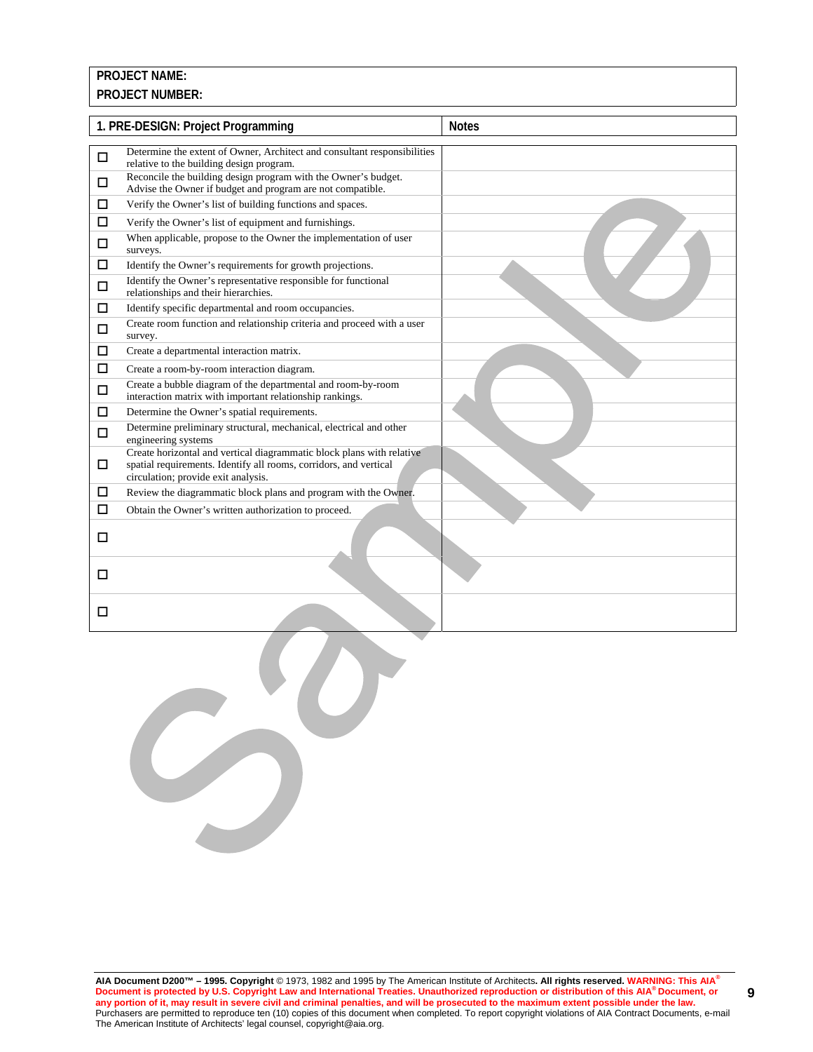#### **PROJECT NUMBER:**

|        | 1. PRE-DESIGN: Project Programming                                                                                                                                                | <b>Notes</b> |
|--------|-----------------------------------------------------------------------------------------------------------------------------------------------------------------------------------|--------------|
| $\Box$ | Determine the extent of Owner, Architect and consultant responsibilities<br>relative to the building design program.                                                              |              |
| $\Box$ | Reconcile the building design program with the Owner's budget.<br>Advise the Owner if budget and program are not compatible.                                                      |              |
| $\Box$ | Verify the Owner's list of building functions and spaces.                                                                                                                         |              |
| □      | Verify the Owner's list of equipment and furnishings.                                                                                                                             |              |
| $\Box$ | When applicable, propose to the Owner the implementation of user<br>surveys.                                                                                                      |              |
| $\Box$ | Identify the Owner's requirements for growth projections.                                                                                                                         |              |
| $\Box$ | Identify the Owner's representative responsible for functional<br>relationships and their hierarchies.                                                                            |              |
| $\Box$ | Identify specific departmental and room occupancies.                                                                                                                              |              |
| $\Box$ | Create room function and relationship criteria and proceed with a user<br>survey.                                                                                                 |              |
| $\Box$ | Create a departmental interaction matrix.                                                                                                                                         |              |
| $\Box$ | Create a room-by-room interaction diagram.                                                                                                                                        |              |
| $\Box$ | Create a bubble diagram of the departmental and room-by-room<br>interaction matrix with important relationship rankings.                                                          |              |
| $\Box$ | Determine the Owner's spatial requirements.                                                                                                                                       |              |
| $\Box$ | Determine preliminary structural, mechanical, electrical and other<br>engineering systems                                                                                         |              |
| $\Box$ | Create horizontal and vertical diagrammatic block plans with relative<br>spatial requirements. Identify all rooms, corridors, and vertical<br>circulation; provide exit analysis. |              |
| □      | Review the diagrammatic block plans and program with the Owner.                                                                                                                   |              |
| □      | Obtain the Owner's written authorization to proceed.                                                                                                                              |              |
| □      |                                                                                                                                                                                   |              |
| □      |                                                                                                                                                                                   |              |
| □      |                                                                                                                                                                                   |              |
|        |                                                                                                                                                                                   |              |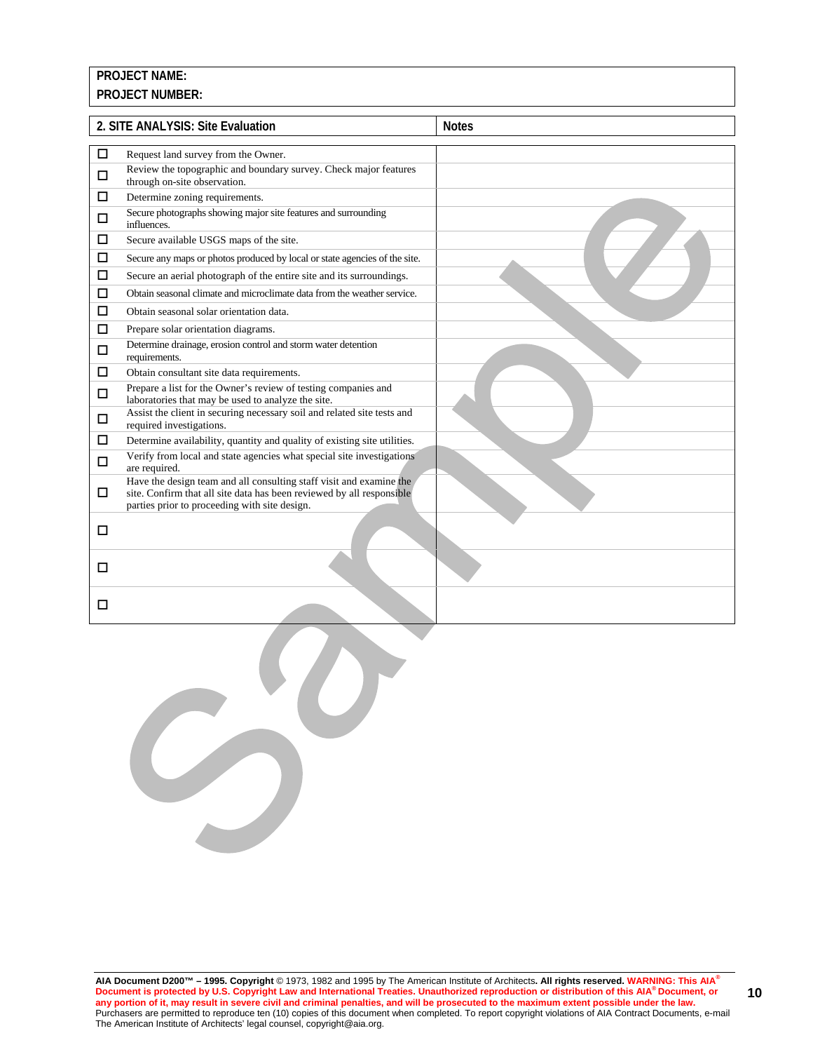|        | 2. SITE ANALYSIS: Site Evaluation                                                                                                                                                             | <b>Notes</b> |
|--------|-----------------------------------------------------------------------------------------------------------------------------------------------------------------------------------------------|--------------|
| □      | Request land survey from the Owner.                                                                                                                                                           |              |
| $\Box$ | Review the topographic and boundary survey. Check major features<br>through on-site observation.                                                                                              |              |
| $\Box$ | Determine zoning requirements.                                                                                                                                                                |              |
| $\Box$ | Secure photographs showing major site features and surrounding<br>influences.                                                                                                                 |              |
| $\Box$ | Secure available USGS maps of the site.                                                                                                                                                       |              |
| $\Box$ | Secure any maps or photos produced by local or state agencies of the site.                                                                                                                    |              |
| $\Box$ | Secure an aerial photograph of the entire site and its surroundings.                                                                                                                          |              |
| $\Box$ | Obtain seasonal climate and microclimate data from the weather service.                                                                                                                       |              |
| $\Box$ | Obtain seasonal solar orientation data.                                                                                                                                                       |              |
| $\Box$ | Prepare solar orientation diagrams.                                                                                                                                                           |              |
| $\Box$ | Determine drainage, erosion control and storm water detention<br>requirements.                                                                                                                |              |
| $\Box$ | Obtain consultant site data requirements.                                                                                                                                                     |              |
| $\Box$ | Prepare a list for the Owner's review of testing companies and<br>laboratories that may be used to analyze the site.                                                                          |              |
| $\Box$ | Assist the client in securing necessary soil and related site tests and<br>required investigations.                                                                                           |              |
| $\Box$ | Determine availability, quantity and quality of existing site utilities.                                                                                                                      |              |
| $\Box$ | Verify from local and state agencies what special site investigations<br>are required.                                                                                                        |              |
| □      | Have the design team and all consulting staff visit and examine the<br>site. Confirm that all site data has been reviewed by all responsible<br>parties prior to proceeding with site design. |              |
| $\Box$ |                                                                                                                                                                                               |              |
| □      |                                                                                                                                                                                               |              |
| □      |                                                                                                                                                                                               |              |
|        |                                                                                                                                                                                               |              |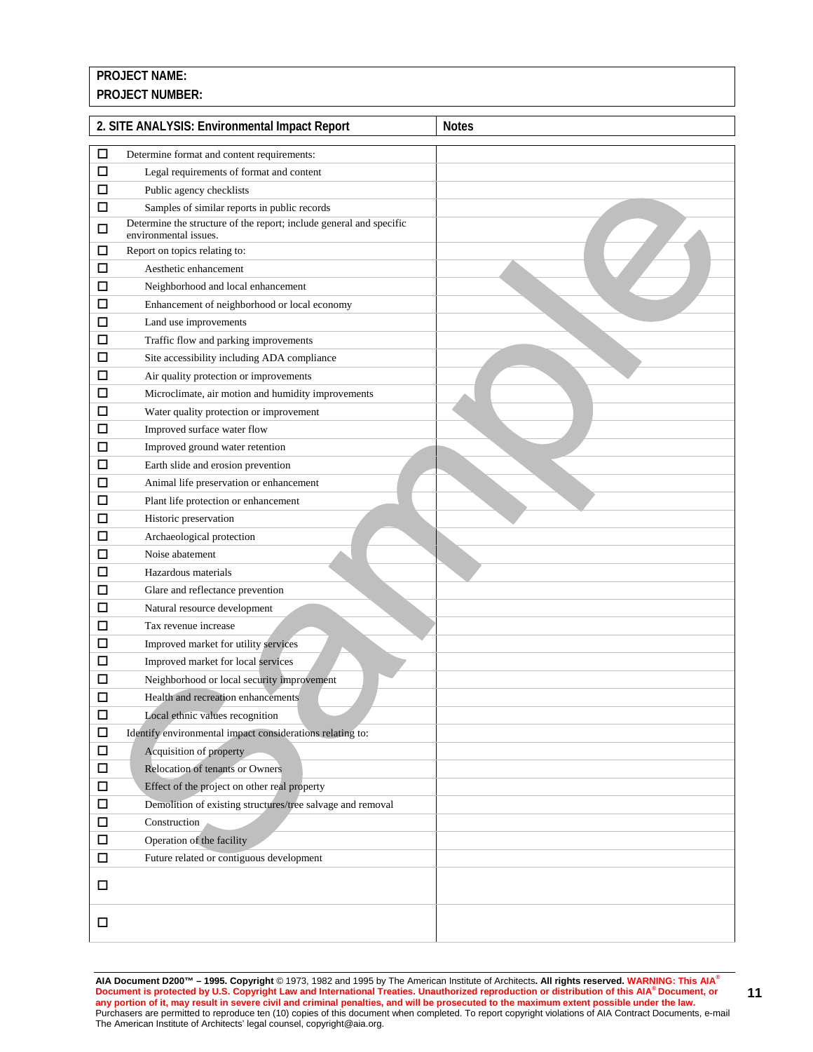|        | 2. SITE ANALYSIS: Environmental Impact Report                       | <b>Notes</b> |
|--------|---------------------------------------------------------------------|--------------|
| □      | Determine format and content requirements:                          |              |
| □      | Legal requirements of format and content                            |              |
| ◻      | Public agency checklists                                            |              |
| □      | Samples of similar reports in public records                        |              |
|        | Determine the structure of the report; include general and specific |              |
| □      | environmental issues.                                               |              |
| □      | Report on topics relating to:                                       |              |
| □      | Aesthetic enhancement                                               |              |
| ◻      | Neighborhood and local enhancement                                  |              |
| □      | Enhancement of neighborhood or local economy                        |              |
| ◻      | Land use improvements                                               |              |
| ◻      | Traffic flow and parking improvements                               |              |
| □      | Site accessibility including ADA compliance                         |              |
| □      | Air quality protection or improvements                              |              |
| □      | Microclimate, air motion and humidity improvements                  |              |
| ◻      | Water quality protection or improvement                             |              |
| ◻      | Improved surface water flow                                         |              |
| □      | Improved ground water retention                                     |              |
| □      | Earth slide and erosion prevention                                  |              |
| ◻      | Animal life preservation or enhancement                             |              |
| □      | Plant life protection or enhancement                                |              |
| □      | Historic preservation                                               |              |
| ◻      | Archaeological protection                                           |              |
| ◻      | Noise abatement                                                     |              |
| ◻      | Hazardous materials                                                 |              |
| □      | Glare and reflectance prevention                                    |              |
| □      | Natural resource development                                        |              |
| □      | Tax revenue increase                                                |              |
| ◻      | Improved market for utility services                                |              |
| □      | Improved market for local services                                  |              |
| □      | Neighborhood or local security improvement                          |              |
| □      | Health and recreation enhancements                                  |              |
| □      | Local ethnic values recognition                                     |              |
| □      | Identify environmental impact considerations relating to:           |              |
| $\Box$ | Acquisition of property                                             |              |
| □      | Relocation of tenants or Owners                                     |              |
| □      | Effect of the project on other real property                        |              |
| $\Box$ | Demolition of existing structures/tree salvage and removal          |              |
| $\Box$ | Construction                                                        |              |
| $\Box$ | Operation of the facility                                           |              |
| □      | Future related or contiguous development                            |              |
|        |                                                                     |              |
| □      |                                                                     |              |
| □      |                                                                     |              |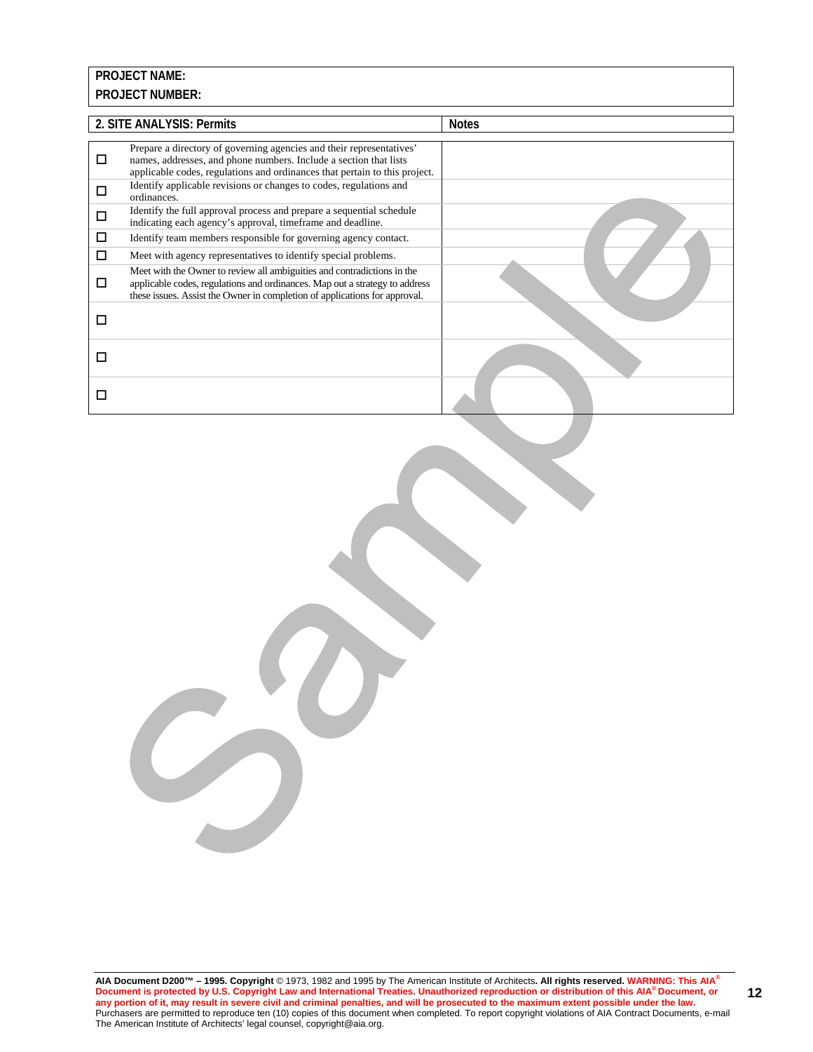### 2. SITE ANALYSIS: Permits **Notes Notes**  $\Box$ Prepare a directory of governing agencies and their representatives' names, addresses, and phone numbers. Include a section that lists applicable codes, regulations and ordinances that pertain to this project. Identify applicable revisions or changes to codes, regulations and ordinances. Identify the full approval process and prepare a sequential schedule  $\Box$ indicating each agency's approval, timeframe and deadline. Identify team members responsible for governing agency contact. Meet with agency representatives to identify special problems.  $\Box$ Meet with the Owner to review all ambiguities and contradictions in the applicable codes, regulations and ordinances. Map out a strategy to address these issues. Assist the Owner in completion of applications for approval.  $\Box$  $\Box$  $\Box$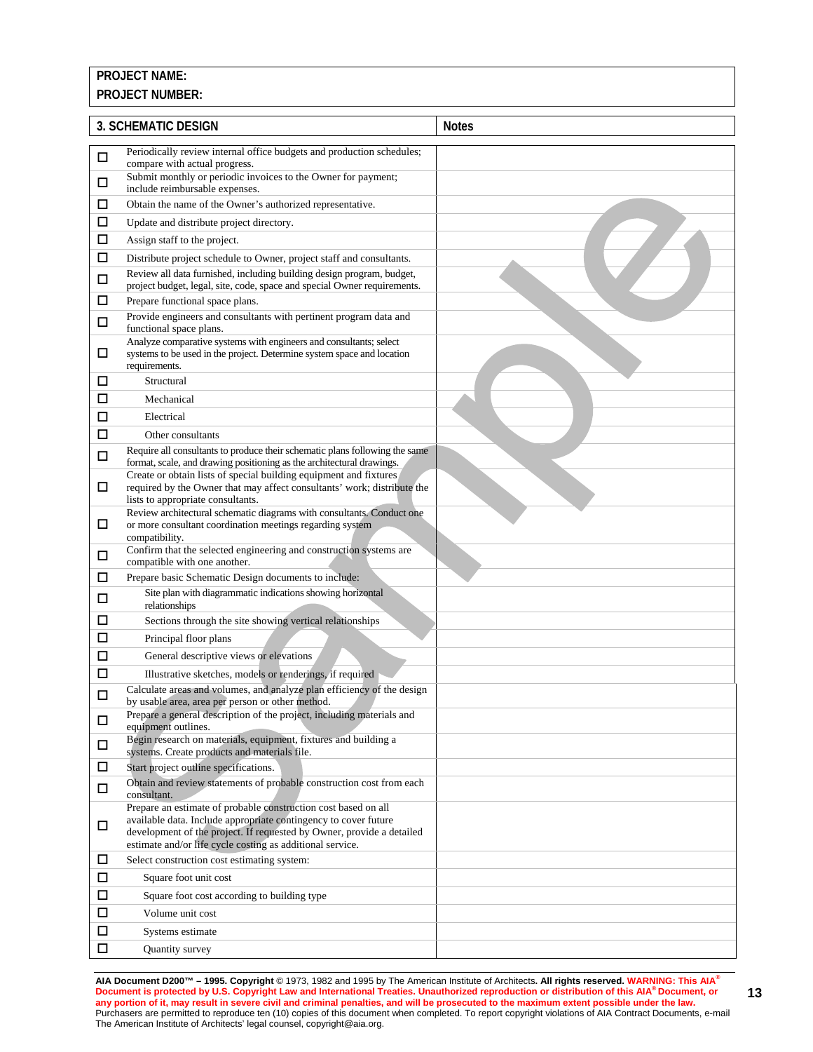#### **3. SCHEMATIC DESIGN Notes** Notes Periodically review internal office budgets and production schedules; compare with actual progress.  $\square$  Submit monthly or periodic invoices to the Owner for payment; include reimbursable expenses. Obtain the name of the Owner's authorized representative. □ Update and distribute project directory. Assign staff to the project. Distribute project schedule to Owner, project staff and consultants. Review all data furnished, including building design program, budget, project budget, legal, site, code, space and special Owner requirements.  $\Box$  Prepare functional space plans. Provide engineers and consultants with pertinent program data and functional space plans. □ Analyze comparative systems with engineers and consultants; select systems to be used in the project. Determine system space and location requirements. □ Structural Mechanical Electrical  $\Box$  Other consultants  $\Box$  Require all consultants to produce their schematic plans following the same format, scale, and drawing positioning as the architectural drawings.  $\Box$ Create or obtain lists of special building equipment and fixtures required by the Owner that may affect consultants' work; distribute the lists to appropriate consultants.  $\Box$ Review architectural schematic diagrams with consultants. Conduct one or more consultant coordination meetings regarding system compatibility. Confirm that the selected engineering and construction systems are<br> $\Box$ compatible with one another. **Prepare basic Schematic Design documents to include:**  $\boxed{\fbox{5:} \begin{tabular}{l} \hline \textbf{1} & \textbf{1} & \textbf{1} & \textbf{1} & \textbf{1} & \textbf{1} & \textbf{1} & \textbf{1} & \textbf{1} & \textbf{1} & \textbf{1} & \textbf{1} & \textbf{1} & \textbf{1} & \textbf{1} & \textbf{1} & \textbf{1} & \textbf{1} & \textbf{1} & \textbf{1} & \textbf{1} & \textbf{1} & \textbf{1} & \textbf{1} & \textbf{1} & \textbf{1} & \textbf{1} & \textbf{1} & \textbf{$ relationships Sections through the site showing vertical relationships  $\Box$  Principal floor plans  $\Box$  General descriptive views or elevations  $\Box$  Illustrative sketches, models or renderings, if required Calculate areas and volumes, and analyze plan efficiency of the design by usable area, area per person or other method. Prepare a general description of the project, including materials and equipment outlines.  $\Box$  Begin research on materials, equipment, fixtures and building a systems. Create products and materials file. Start project outline specifications. Obtain and review statements of probable construction cost from each consultant.  $\Box$ Prepare an estimate of probable construction cost based on all available data. Include appropriate contingency to cover future development of the project. If requested by Owner, provide a detailed estimate and/or life cycle costing as additional service.  $\Box$  Select construction cost estimating system: Square foot unit cost Square foot cost according to building type Volume unit cost  $\Box$  Systems estimate  $\Box$  Quantity survey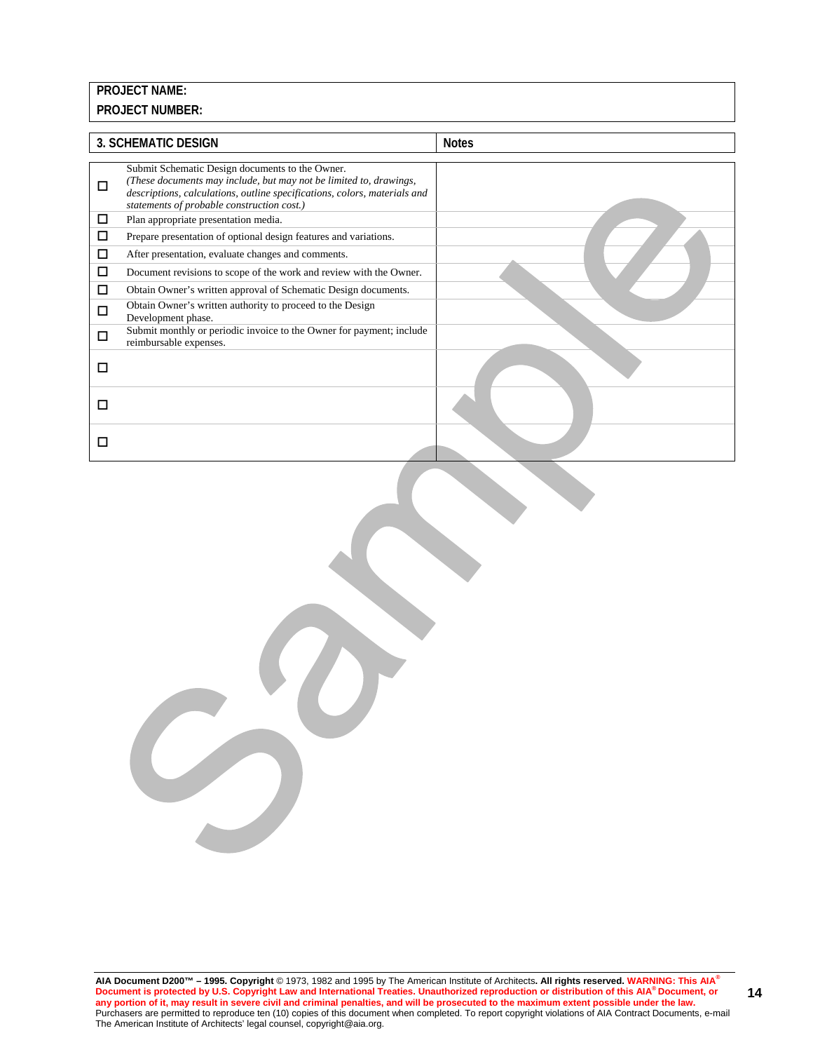|   | <b>3. SCHEMATIC DESIGN</b>                                                                                                                                                                    | <b>Notes</b> |
|---|-----------------------------------------------------------------------------------------------------------------------------------------------------------------------------------------------|--------------|
|   | Submit Schematic Design documents to the Owner.                                                                                                                                               |              |
| □ | (These documents may include, but may not be limited to, drawings,<br>descriptions, calculations, outline specifications, colors, materials and<br>statements of probable construction cost.) |              |
| □ | Plan appropriate presentation media.                                                                                                                                                          |              |
| □ | Prepare presentation of optional design features and variations.                                                                                                                              |              |
| □ | After presentation, evaluate changes and comments.                                                                                                                                            |              |
| □ | Document revisions to scope of the work and review with the Owner.                                                                                                                            |              |
| □ | Obtain Owner's written approval of Schematic Design documents.                                                                                                                                |              |
| □ | Obtain Owner's written authority to proceed to the Design<br>Development phase.                                                                                                               |              |
| □ | Submit monthly or periodic invoice to the Owner for payment; include<br>reimbursable expenses.                                                                                                |              |
| □ |                                                                                                                                                                                               |              |
| □ |                                                                                                                                                                                               |              |
|   |                                                                                                                                                                                               |              |

D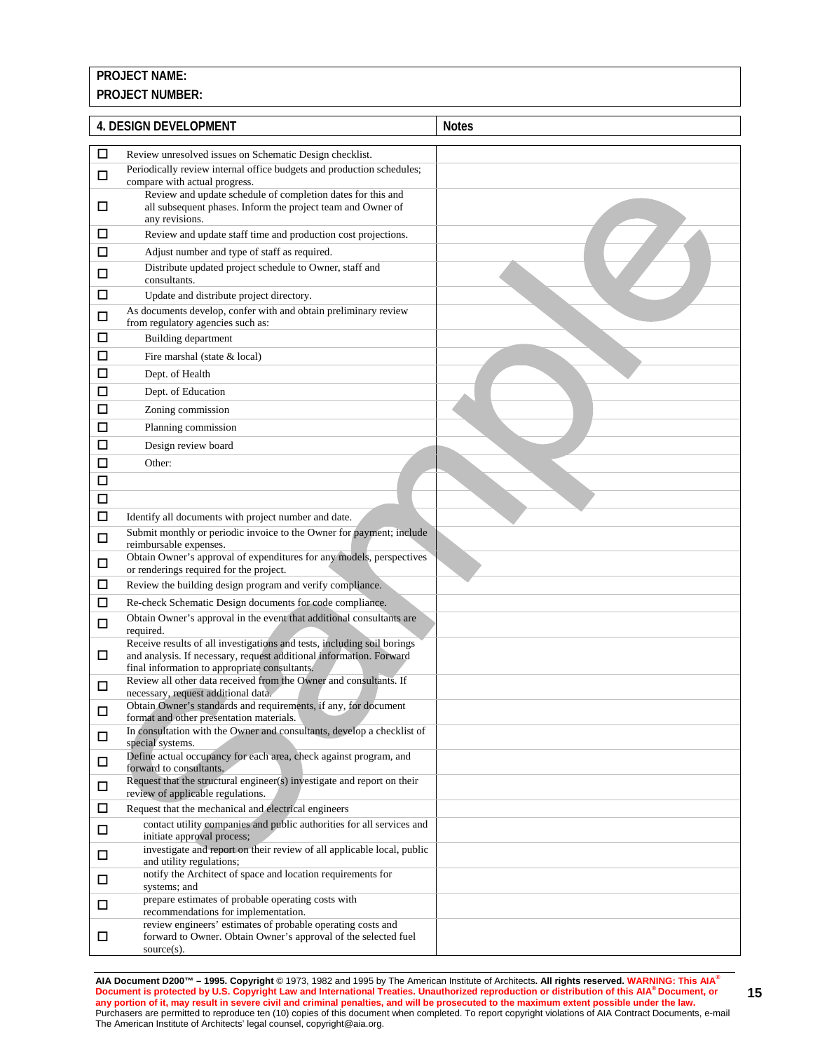| PROJECT NUMBER: |  |
|-----------------|--|

|        | <b>4. DESIGN DEVELOPMENT</b>                                                                                                                   | <b>Notes</b> |
|--------|------------------------------------------------------------------------------------------------------------------------------------------------|--------------|
| □      | Review unresolved issues on Schematic Design checklist.                                                                                        |              |
| □      | Periodically review internal office budgets and production schedules;                                                                          |              |
|        | compare with actual progress.<br>Review and update schedule of completion dates for this and                                                   |              |
| □      | all subsequent phases. Inform the project team and Owner of                                                                                    |              |
|        | any revisions.                                                                                                                                 |              |
| □      | Review and update staff time and production cost projections.                                                                                  |              |
| □      | Adjust number and type of staff as required.<br>Distribute updated project schedule to Owner, staff and                                        |              |
| □      | consultants.                                                                                                                                   |              |
| □      | Update and distribute project directory.                                                                                                       |              |
| □      | As documents develop, confer with and obtain preliminary review<br>from regulatory agencies such as:                                           |              |
| □      | <b>Building department</b>                                                                                                                     |              |
| □      | Fire marshal (state & local)                                                                                                                   |              |
| □      | Dept. of Health                                                                                                                                |              |
| □      | Dept. of Education                                                                                                                             |              |
| □      | Zoning commission                                                                                                                              |              |
| □      | Planning commission                                                                                                                            |              |
| □      | Design review board                                                                                                                            |              |
| □      | Other:                                                                                                                                         |              |
| □      |                                                                                                                                                |              |
| □      |                                                                                                                                                |              |
| $\Box$ | Identify all documents with project number and date.<br>Submit monthly or periodic invoice to the Owner for payment; include                   |              |
| $\Box$ | reimbursable expenses.                                                                                                                         |              |
| □      | Obtain Owner's approval of expenditures for any models, perspectives<br>or renderings required for the project.                                |              |
| □      | Review the building design program and verify compliance.                                                                                      |              |
| □      | Re-check Schematic Design documents for code compliance.                                                                                       |              |
| $\Box$ | Obtain Owner's approval in the event that additional consultants are<br>required.                                                              |              |
| □      | Receive results of all investigations and tests, including soil borings<br>and analysis. If necessary, request additional information. Forward |              |
|        | final information to appropriate consultants.                                                                                                  |              |
| □      | Review all other data received from the Owner and consultants. If<br>necessary, request additional data.                                       |              |
| □      | Obtain Owner's standards and requirements, if any, for document                                                                                |              |
| $\Box$ | format and other presentation materials.<br>In consultation with the Owner and consultants, develop a checklist of                             |              |
|        | special systems.<br>Define actual occupancy for each area, check against program, and                                                          |              |
| $\Box$ | forward to consultants.<br>Request that the structural engineer( $s$ ) investigate and report on their                                         |              |
| $\Box$ | review of applicable regulations.                                                                                                              |              |
| $\Box$ | Request that the mechanical and electrical engineers                                                                                           |              |
| □      | contact utility companies and public authorities for all services and<br>initiate approval process;                                            |              |
| $\Box$ | investigate and report on their review of all applicable local, public<br>and utility regulations;                                             |              |
| □      | notify the Architect of space and location requirements for<br>systems; and                                                                    |              |
| □      | prepare estimates of probable operating costs with<br>recommendations for implementation.                                                      |              |
|        | review engineers' estimates of probable operating costs and                                                                                    |              |
| □      | forward to Owner. Obtain Owner's approval of the selected fuel<br>$source(s)$ .                                                                |              |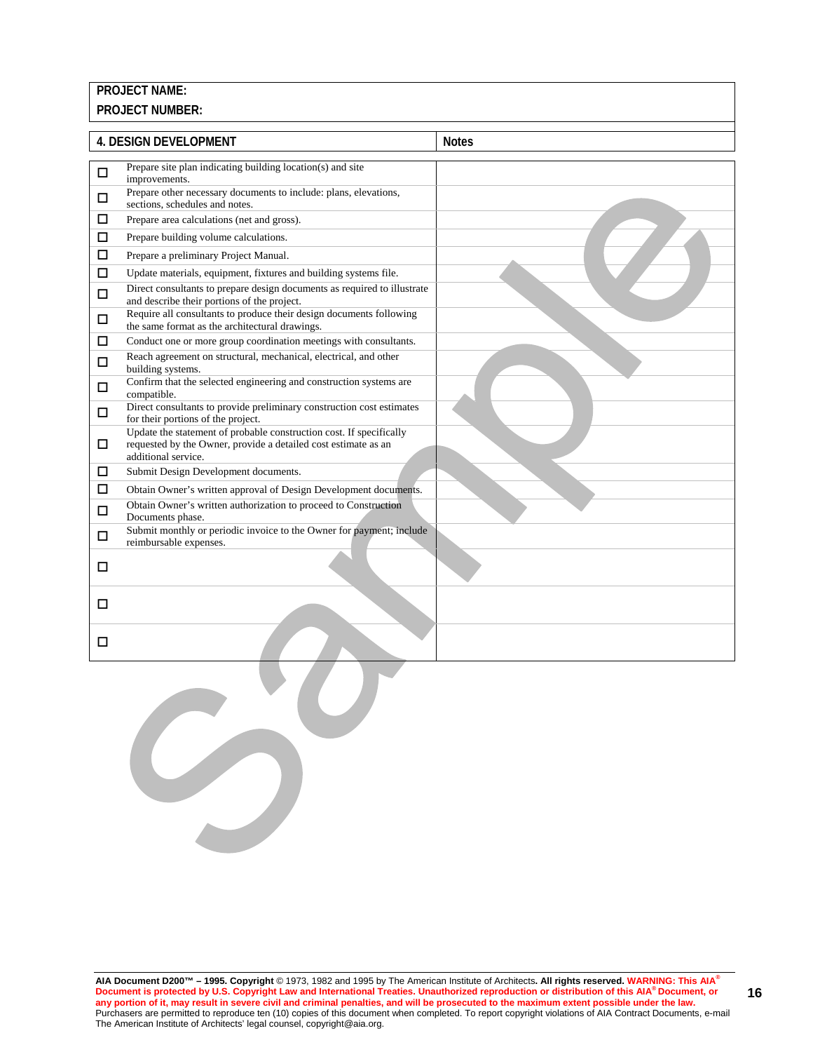|        | <b>4. DESIGN DEVELOPMENT</b>                                                                                                                                 | <b>Notes</b> |
|--------|--------------------------------------------------------------------------------------------------------------------------------------------------------------|--------------|
| $\Box$ | Prepare site plan indicating building location(s) and site<br>improvements.                                                                                  |              |
| □      | Prepare other necessary documents to include: plans, elevations,<br>sections, schedules and notes.                                                           |              |
| □      | Prepare area calculations (net and gross).                                                                                                                   |              |
| □      | Prepare building volume calculations.                                                                                                                        |              |
| ◻      | Prepare a preliminary Project Manual.                                                                                                                        |              |
| □      | Update materials, equipment, fixtures and building systems file.                                                                                             |              |
| □      | Direct consultants to prepare design documents as required to illustrate<br>and describe their portions of the project.                                      |              |
| □      | Require all consultants to produce their design documents following<br>the same format as the architectural drawings.                                        |              |
| ◻      | Conduct one or more group coordination meetings with consultants.                                                                                            |              |
| □      | Reach agreement on structural, mechanical, electrical, and other<br>building systems.                                                                        |              |
| □      | Confirm that the selected engineering and construction systems are<br>compatible.                                                                            |              |
| $\Box$ | Direct consultants to provide preliminary construction cost estimates<br>for their portions of the project.                                                  |              |
| □      | Update the statement of probable construction cost. If specifically<br>requested by the Owner, provide a detailed cost estimate as an<br>additional service. |              |
| □      | Submit Design Development documents.                                                                                                                         |              |
| $\Box$ | Obtain Owner's written approval of Design Development documents.                                                                                             |              |
| □      | Obtain Owner's written authorization to proceed to Construction<br>Documents phase.                                                                          |              |
| □      | Submit monthly or periodic invoice to the Owner for payment; include<br>reimbursable expenses.                                                               |              |
| □      |                                                                                                                                                              |              |
| □      |                                                                                                                                                              |              |
| □      |                                                                                                                                                              |              |
|        |                                                                                                                                                              |              |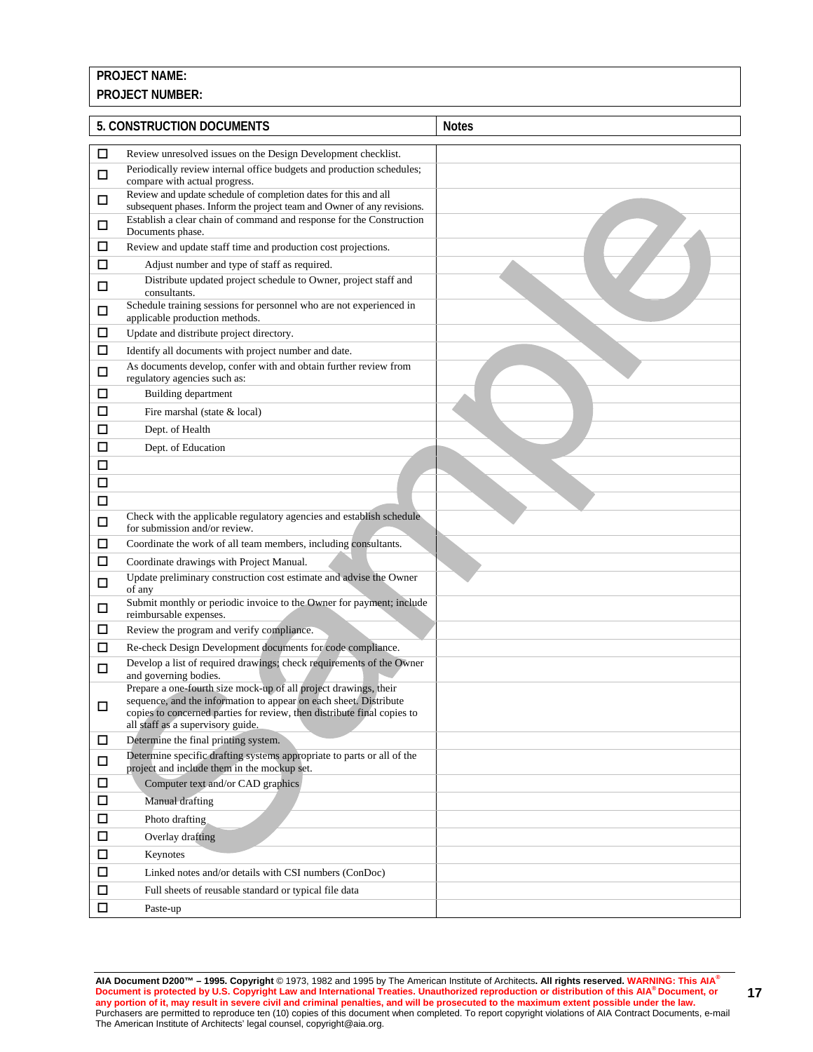#### **PROJECT NUMBER:**

|        | 5. CONSTRUCTION DOCUMENTS                                                                                                                                                                                                                             | <b>Notes</b> |
|--------|-------------------------------------------------------------------------------------------------------------------------------------------------------------------------------------------------------------------------------------------------------|--------------|
|        |                                                                                                                                                                                                                                                       |              |
| □      | Review unresolved issues on the Design Development checklist.                                                                                                                                                                                         |              |
| □      | Periodically review internal office budgets and production schedules;<br>compare with actual progress.                                                                                                                                                |              |
| □      | Review and update schedule of completion dates for this and all                                                                                                                                                                                       |              |
|        | subsequent phases. Inform the project team and Owner of any revisions.                                                                                                                                                                                |              |
| □      | Establish a clear chain of command and response for the Construction<br>Documents phase.                                                                                                                                                              |              |
| □      | Review and update staff time and production cost projections.                                                                                                                                                                                         |              |
| $\Box$ | Adjust number and type of staff as required.                                                                                                                                                                                                          |              |
| □      | Distribute updated project schedule to Owner, project staff and<br>consultants.                                                                                                                                                                       |              |
| $\Box$ | Schedule training sessions for personnel who are not experienced in<br>applicable production methods.                                                                                                                                                 |              |
| □      | Update and distribute project directory.                                                                                                                                                                                                              |              |
| □      | Identify all documents with project number and date.                                                                                                                                                                                                  |              |
| □      | As documents develop, confer with and obtain further review from                                                                                                                                                                                      |              |
| □      | regulatory agencies such as:<br>Building department                                                                                                                                                                                                   |              |
| □      | Fire marshal (state & local)                                                                                                                                                                                                                          |              |
| □      | Dept. of Health                                                                                                                                                                                                                                       |              |
| □      | Dept. of Education                                                                                                                                                                                                                                    |              |
| □      |                                                                                                                                                                                                                                                       |              |
| □      |                                                                                                                                                                                                                                                       |              |
| □      |                                                                                                                                                                                                                                                       |              |
| □      | Check with the applicable regulatory agencies and establish schedule<br>for submission and/or review.                                                                                                                                                 |              |
| $\Box$ | Coordinate the work of all team members, including consultants.                                                                                                                                                                                       |              |
| □      | Coordinate drawings with Project Manual.                                                                                                                                                                                                              |              |
| □      | Update preliminary construction cost estimate and advise the Owner<br>of any                                                                                                                                                                          |              |
| □      | Submit monthly or periodic invoice to the Owner for payment; include<br>reimbursable expenses.                                                                                                                                                        |              |
| □      | Review the program and verify compliance.                                                                                                                                                                                                             |              |
| □      | Re-check Design Development documents for code compliance.                                                                                                                                                                                            |              |
| □      | Develop a list of required drawings; check requirements of the Owner<br>and governing bodies.                                                                                                                                                         |              |
| □      | Prepare a one-fourth size mock-up of all project drawings, their<br>sequence, and the information to appear on each sheet. Distribute<br>copies to concerned parties for review, then distribute final copies to<br>all staff as a supervisory guide. |              |
| □      | Determine the final printing system.                                                                                                                                                                                                                  |              |
| □      | Determine specific drafting systems appropriate to parts or all of the<br>project and include them in the mockup set.                                                                                                                                 |              |
| □      | Computer text and/or CAD graphics                                                                                                                                                                                                                     |              |
| □      | <b>Manual drafting</b>                                                                                                                                                                                                                                |              |
| $\Box$ | Photo drafting                                                                                                                                                                                                                                        |              |
| □      | Overlay drafting                                                                                                                                                                                                                                      |              |
| □      | Keynotes                                                                                                                                                                                                                                              |              |
| □      | Linked notes and/or details with CSI numbers (ConDoc)                                                                                                                                                                                                 |              |
| $\Box$ | Full sheets of reusable standard or typical file data                                                                                                                                                                                                 |              |
| □      | Paste-up                                                                                                                                                                                                                                              |              |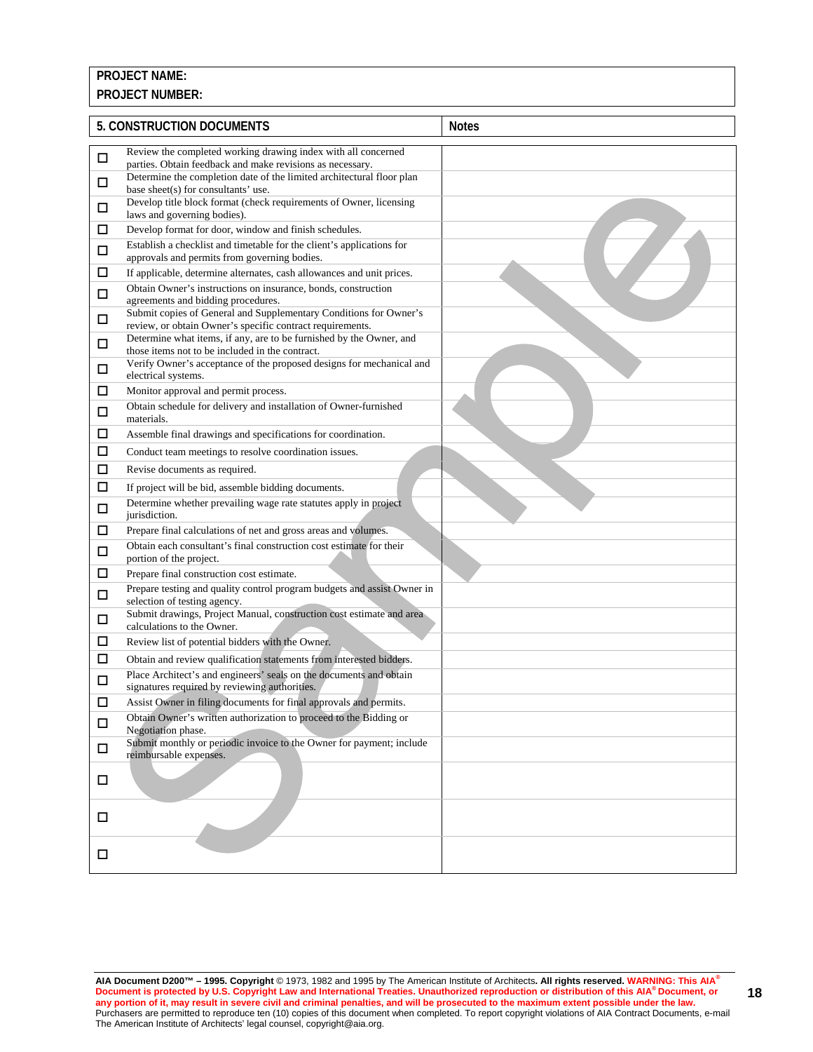#### **PROJECT NUMBER:**

|        | 5. CONSTRUCTION DOCUMENTS                                                                                                      | <b>Notes</b> |
|--------|--------------------------------------------------------------------------------------------------------------------------------|--------------|
| □      | Review the completed working drawing index with all concerned<br>parties. Obtain feedback and make revisions as necessary.     |              |
| $\Box$ | Determine the completion date of the limited architectural floor plan<br>base sheet(s) for consultants' use.                   |              |
| □      | Develop title block format (check requirements of Owner, licensing<br>laws and governing bodies).                              |              |
| □      | Develop format for door, window and finish schedules.                                                                          |              |
| $\Box$ | Establish a checklist and timetable for the client's applications for<br>approvals and permits from governing bodies.          |              |
| □      | If applicable, determine alternates, cash allowances and unit prices.                                                          |              |
| □      | Obtain Owner's instructions on insurance, bonds, construction<br>agreements and bidding procedures.                            |              |
| □      | Submit copies of General and Supplementary Conditions for Owner's<br>review, or obtain Owner's specific contract requirements. |              |
| $\Box$ | Determine what items, if any, are to be furnished by the Owner, and<br>those items not to be included in the contract.         |              |
| □      | Verify Owner's acceptance of the proposed designs for mechanical and<br>electrical systems.                                    |              |
| □      | Monitor approval and permit process.                                                                                           |              |
| □      | Obtain schedule for delivery and installation of Owner-furnished<br>materials.                                                 |              |
| □      | Assemble final drawings and specifications for coordination.                                                                   |              |
| $\Box$ | Conduct team meetings to resolve coordination issues.                                                                          |              |
| $\Box$ | Revise documents as required.                                                                                                  |              |
| $\Box$ | If project will be bid, assemble bidding documents.                                                                            |              |
| □      | Determine whether prevailing wage rate statutes apply in project<br>jurisdiction.                                              |              |
| □      | Prepare final calculations of net and gross areas and volumes.                                                                 |              |
| □      | Obtain each consultant's final construction cost estimate for their<br>portion of the project.                                 |              |
| □      | Prepare final construction cost estimate.                                                                                      |              |
| $\Box$ | Prepare testing and quality control program budgets and assist Owner in<br>selection of testing agency.                        |              |
| $\Box$ | Submit drawings, Project Manual, construction cost estimate and area<br>calculations to the Owner.                             |              |
| □      | Review list of potential bidders with the Owner.                                                                               |              |
| □      | Obtain and review qualification statements from interested bidders.                                                            |              |
| □      | Place Architect's and engineers' seals on the documents and obtain<br>signatures required by reviewing authorities.            |              |
| □      | Assist Owner in filing documents for final approvals and permits.                                                              |              |
| □      | Obtain Owner's written authorization to proceed to the Bidding or<br>Negotiation phase.                                        |              |
| □      | Submit monthly or periodic invoice to the Owner for payment; include<br>reimbursable expenses.                                 |              |
| □      |                                                                                                                                |              |
| $\Box$ |                                                                                                                                |              |
| □      |                                                                                                                                |              |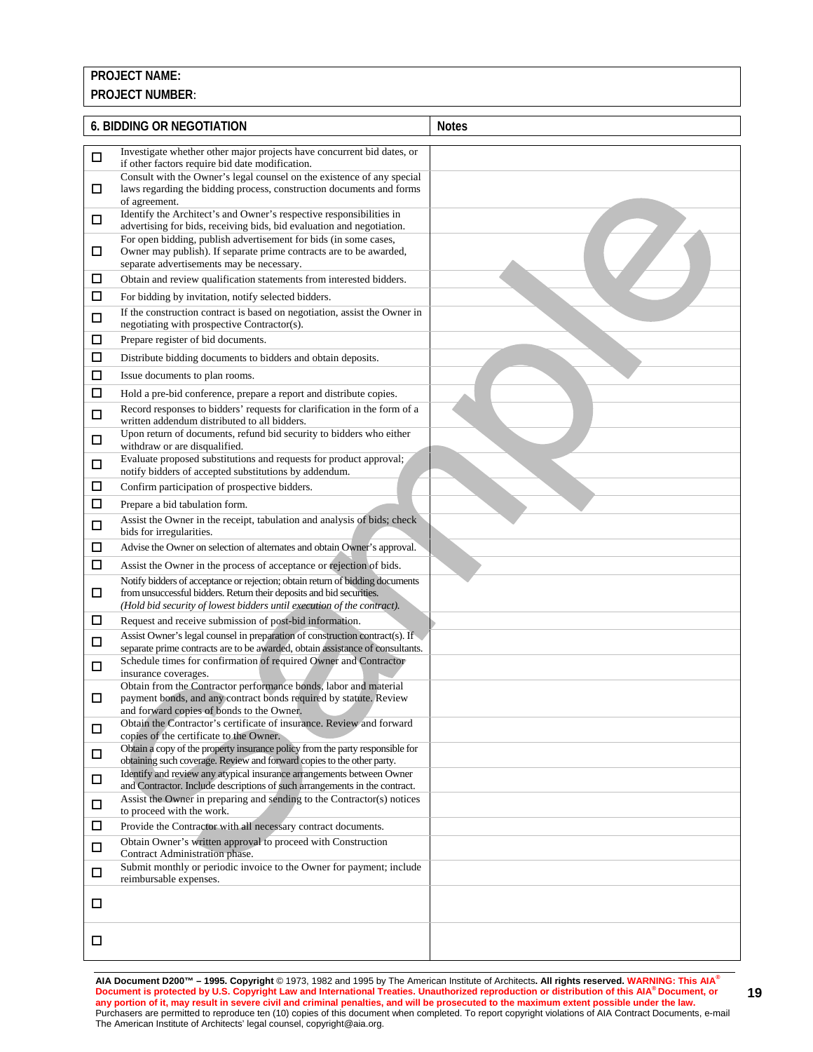|        | <b>6. BIDDING OR NEGOTIATION</b>                                                                                                                             | <b>Notes</b> |
|--------|--------------------------------------------------------------------------------------------------------------------------------------------------------------|--------------|
| $\Box$ | Investigate whether other major projects have concurrent bid dates, or                                                                                       |              |
|        | if other factors require bid date modification.<br>Consult with the Owner's legal counsel on the existence of any special                                    |              |
| □      | laws regarding the bidding process, construction documents and forms<br>of agreement.                                                                        |              |
| $\Box$ | Identify the Architect's and Owner's respective responsibilities in                                                                                          |              |
|        | advertising for bids, receiving bids, bid evaluation and negotiation.<br>For open bidding, publish advertisement for bids (in some cases,                    |              |
| $\Box$ | Owner may publish). If separate prime contracts are to be awarded,<br>separate advertisements may be necessary.                                              |              |
| □      | Obtain and review qualification statements from interested bidders.                                                                                          |              |
| □      | For bidding by invitation, notify selected bidders.                                                                                                          |              |
| □      | If the construction contract is based on negotiation, assist the Owner in<br>negotiating with prospective Contractor(s).                                     |              |
| □      | Prepare register of bid documents.                                                                                                                           |              |
| □      | Distribute bidding documents to bidders and obtain deposits.                                                                                                 |              |
| □      | Issue documents to plan rooms.                                                                                                                               |              |
| □      | Hold a pre-bid conference, prepare a report and distribute copies.                                                                                           |              |
|        | Record responses to bidders' requests for clarification in the form of a                                                                                     |              |
| □      | written addendum distributed to all bidders.<br>Upon return of documents, refund bid security to bidders who either                                          |              |
| □      | withdraw or are disqualified.                                                                                                                                |              |
| $\Box$ | Evaluate proposed substitutions and requests for product approval;<br>notify bidders of accepted substitutions by addendum.                                  |              |
| □      | Confirm participation of prospective bidders.                                                                                                                |              |
| □      | Prepare a bid tabulation form.                                                                                                                               |              |
| □      | Assist the Owner in the receipt, tabulation and analysis of bids; check<br>bids for irregularities.                                                          |              |
| □      | Advise the Owner on selection of alternates and obtain Owner's approval.                                                                                     |              |
| □      | Assist the Owner in the process of acceptance or rejection of bids.                                                                                          |              |
|        | Notify bidders of acceptance or rejection; obtain return of bidding documents                                                                                |              |
| □      | from unsuccessful bidders. Return their deposits and bid securities.<br>(Hold bid security of lowest bidders until execution of the contract).               |              |
| □      | Request and receive submission of post-bid information.                                                                                                      |              |
| $\Box$ | Assist Owner's legal counsel in preparation of construction contract(s). If<br>separate prime contracts are to be awarded, obtain assistance of consultants. |              |
| □      | Schedule times for confirmation of required Owner and Contractor                                                                                             |              |
|        | insurance coverages.<br>Obtain from the Contractor performance bonds, labor and material                                                                     |              |
| □      | payment bonds, and any contract bonds required by statute. Review<br>and forward copies of bonds to the Owner.                                               |              |
| □      | Obtain the Contractor's certificate of insurance. Review and forward<br>copies of the certificate to the Owner.                                              |              |
| $\Box$ | Obtain a copy of the property insurance policy from the party responsible for<br>obtaining such coverage. Review and forward copies to the other party.      |              |
| $\Box$ | Identify and review any atypical insurance arrangements between Owner                                                                                        |              |
|        | and Contractor. Include descriptions of such arrangements in the contract.<br>Assist the Owner in preparing and sending to the Contractor(s) notices         |              |
| □      | to proceed with the work.                                                                                                                                    |              |
| □      | Provide the Contractor with all necessary contract documents.<br>Obtain Owner's written approval to proceed with Construction                                |              |
| $\Box$ | Contract Administration phase.                                                                                                                               |              |
| □      | Submit monthly or periodic invoice to the Owner for payment; include<br>reimbursable expenses.                                                               |              |
| $\Box$ |                                                                                                                                                              |              |
| □      |                                                                                                                                                              |              |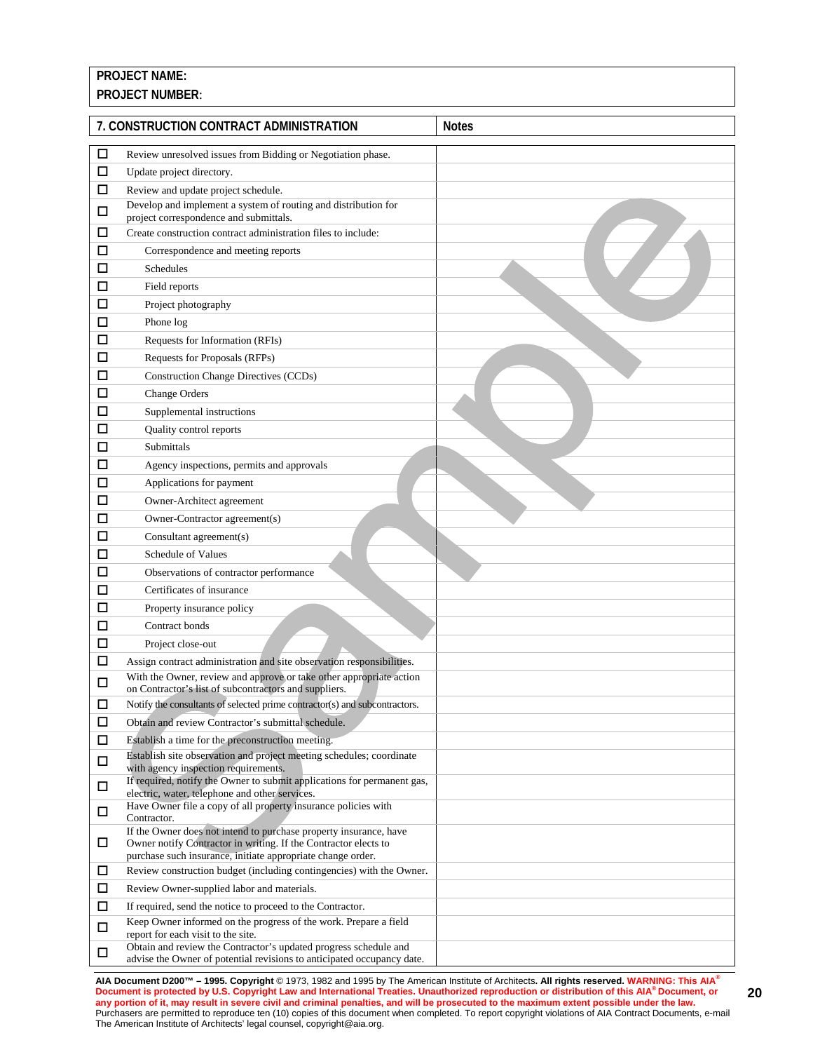|              | 7. CONSTRUCTION CONTRACT ADMINISTRATION                                                                                                                                                             | <b>Notes</b> |
|--------------|-----------------------------------------------------------------------------------------------------------------------------------------------------------------------------------------------------|--------------|
| $\Box$       | Review unresolved issues from Bidding or Negotiation phase.                                                                                                                                         |              |
| □            | Update project directory.                                                                                                                                                                           |              |
| □            | Review and update project schedule.                                                                                                                                                                 |              |
| □            | Develop and implement a system of routing and distribution for                                                                                                                                      |              |
| □            | project correspondence and submittals.<br>Create construction contract administration files to include:                                                                                             |              |
| □            | Correspondence and meeting reports                                                                                                                                                                  |              |
| □            | Schedules                                                                                                                                                                                           |              |
| □            | Field reports                                                                                                                                                                                       |              |
| □            | Project photography                                                                                                                                                                                 |              |
| ◻            | Phone log                                                                                                                                                                                           |              |
| ◻            | Requests for Information (RFIs)                                                                                                                                                                     |              |
| □            | Requests for Proposals (RFPs)                                                                                                                                                                       |              |
| ◻            | <b>Construction Change Directives (CCDs)</b>                                                                                                                                                        |              |
| ◻            | <b>Change Orders</b>                                                                                                                                                                                |              |
| □            | Supplemental instructions                                                                                                                                                                           |              |
| □            | Quality control reports                                                                                                                                                                             |              |
| □            | Submittals                                                                                                                                                                                          |              |
| □            | Agency inspections, permits and approvals                                                                                                                                                           |              |
| □            | Applications for payment                                                                                                                                                                            |              |
| □            | Owner-Architect agreement                                                                                                                                                                           |              |
| □            | Owner-Contractor agreement(s)                                                                                                                                                                       |              |
| □            | Consultant agreement(s)                                                                                                                                                                             |              |
| □            | Schedule of Values                                                                                                                                                                                  |              |
| □            | Observations of contractor performance                                                                                                                                                              |              |
| ◻            | Certificates of insurance                                                                                                                                                                           |              |
| □            | Property insurance policy                                                                                                                                                                           |              |
| ◻            | Contract bonds                                                                                                                                                                                      |              |
| □            | Project close-out                                                                                                                                                                                   |              |
| □            | Assign contract administration and site observation responsibilities.<br>With the Owner, review and approve or take other appropriate action                                                        |              |
| $\mathbb{Z}$ | on Contractor's list of subcontractors and suppliers.                                                                                                                                               |              |
| □            | Notify the consultants of selected prime contractor(s) and subcontractors.                                                                                                                          |              |
| $\Box$       | Obtain and review Contractor's submittal schedule.                                                                                                                                                  |              |
| $\Box$       | Establish a time for the preconstruction meeting.                                                                                                                                                   |              |
| $\Box$       | Establish site observation and project meeting schedules; coordinate<br>with agency inspection requirements.                                                                                        |              |
| $\Box$       | If required, notify the Owner to submit applications for permanent gas,<br>electric, water, telephone and other services.                                                                           |              |
| $\Box$       | Have Owner file a copy of all property insurance policies with<br>Contractor.                                                                                                                       |              |
| $\Box$       | If the Owner does not intend to purchase property insurance, have<br>Owner notify Contractor in writing. If the Contractor elects to<br>purchase such insurance, initiate appropriate change order. |              |
| $\Box$       | Review construction budget (including contingencies) with the Owner.                                                                                                                                |              |
| $\Box$       | Review Owner-supplied labor and materials.                                                                                                                                                          |              |
| $\Box$       | If required, send the notice to proceed to the Contractor.                                                                                                                                          |              |
| $\Box$       | Keep Owner informed on the progress of the work. Prepare a field<br>report for each visit to the site.                                                                                              |              |
| □            | Obtain and review the Contractor's updated progress schedule and<br>advise the Owner of potential revisions to anticipated occupancy date.                                                          |              |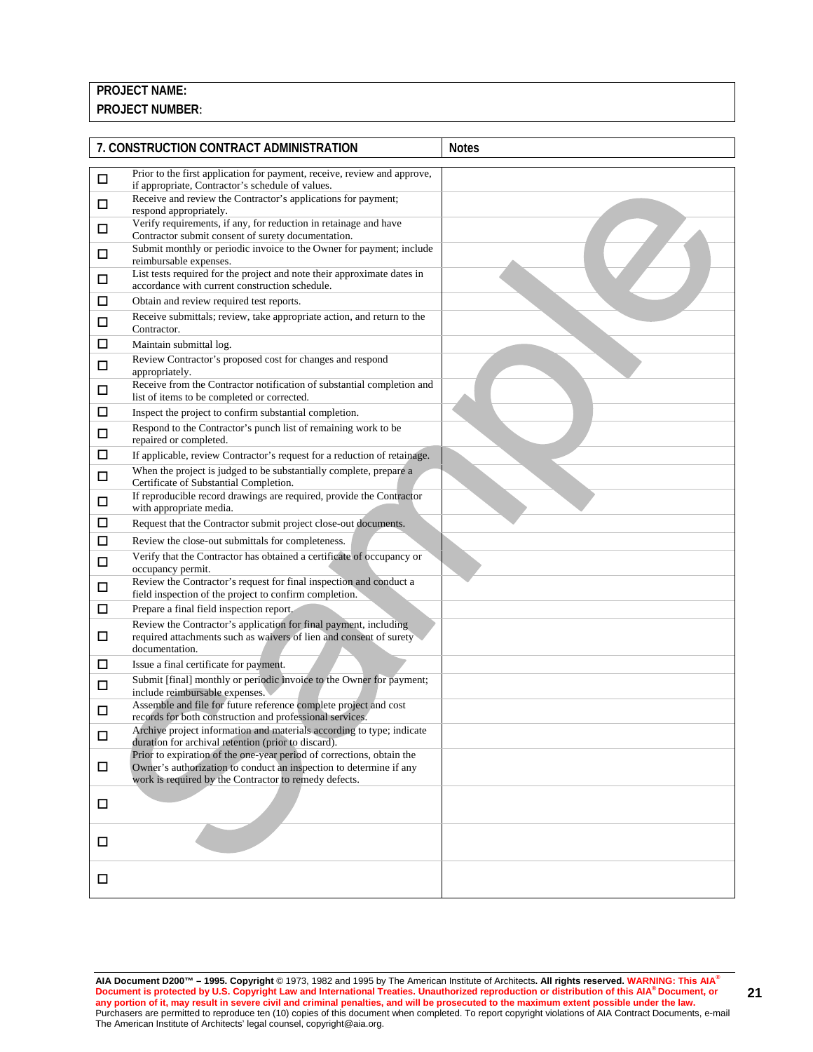|        | 7. CONSTRUCTION CONTRACT ADMINISTRATION                                                                                                                                                              | <b>Notes</b> |
|--------|------------------------------------------------------------------------------------------------------------------------------------------------------------------------------------------------------|--------------|
| $\Box$ | Prior to the first application for payment, receive, review and approve,<br>if appropriate, Contractor's schedule of values.                                                                         |              |
| □      | Receive and review the Contractor's applications for payment;<br>respond appropriately.                                                                                                              |              |
| □      | Verify requirements, if any, for reduction in retainage and have<br>Contractor submit consent of surety documentation.                                                                               |              |
| □      | Submit monthly or periodic invoice to the Owner for payment; include<br>reimbursable expenses.                                                                                                       |              |
| 口      | List tests required for the project and note their approximate dates in<br>accordance with current construction schedule.                                                                            |              |
| $\Box$ | Obtain and review required test reports.                                                                                                                                                             |              |
| □      | Receive submittals; review, take appropriate action, and return to the<br>Contractor.                                                                                                                |              |
| $\Box$ | Maintain submittal log.                                                                                                                                                                              |              |
| $\Box$ | Review Contractor's proposed cost for changes and respond<br>appropriately.                                                                                                                          |              |
| 口      | Receive from the Contractor notification of substantial completion and<br>list of items to be completed or corrected.                                                                                |              |
| $\Box$ | Inspect the project to confirm substantial completion.                                                                                                                                               |              |
| □      | Respond to the Contractor's punch list of remaining work to be<br>repaired or completed.                                                                                                             |              |
| □      | If applicable, review Contractor's request for a reduction of retainage.                                                                                                                             |              |
| □      | When the project is judged to be substantially complete, prepare a<br>Certificate of Substantial Completion.                                                                                         |              |
| $\Box$ | If reproducible record drawings are required, provide the Contractor<br>with appropriate media.                                                                                                      |              |
| □      | Request that the Contractor submit project close-out documents.                                                                                                                                      |              |
| □      | Review the close-out submittals for completeness.                                                                                                                                                    |              |
| □      | Verify that the Contractor has obtained a certificate of occupancy or<br>occupancy permit.                                                                                                           |              |
| □      | Review the Contractor's request for final inspection and conduct a<br>field inspection of the project to confirm completion.                                                                         |              |
| □      | Prepare a final field inspection report.                                                                                                                                                             |              |
| □      | Review the Contractor's application for final payment, including<br>required attachments such as waivers of lien and consent of surety<br>documentation.                                             |              |
| □      | Issue a final certificate for payment.                                                                                                                                                               |              |
| □      | Submit [final] monthly or periodic invoice to the Owner for payment;<br>include reimbursable expenses.                                                                                               |              |
| □      | Assemble and file for future reference complete project and cost<br>records for both construction and professional services.                                                                         |              |
| □      | Archive project information and materials according to type; indicate<br>duration for archival retention (prior to discard).                                                                         |              |
| $\Box$ | Prior to expiration of the one-year period of corrections, obtain the<br>Owner's authorization to conduct an inspection to determine if any<br>work is required by the Contractor to remedy defects. |              |
| $\Box$ |                                                                                                                                                                                                      |              |
| □      |                                                                                                                                                                                                      |              |
| $\Box$ |                                                                                                                                                                                                      |              |